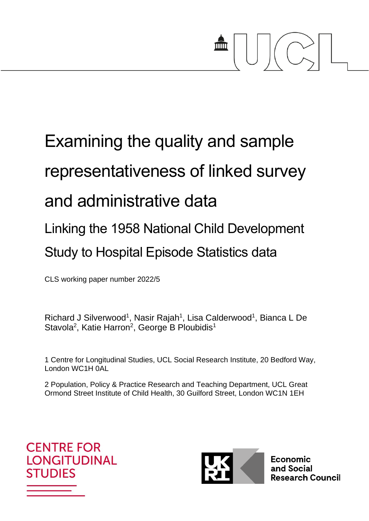# $\frac{1}{2}$

## Examining the quality and sample representativeness of linked survey and administrative data Linking the 1958 National Child Development Study to Hospital Episode Statistics data

CLS working paper number 2022/5

Richard J Silverwood<sup>1</sup>, Nasir Rajah<sup>1</sup>, Lisa Calderwood<sup>1</sup>, Bianca L De Stavola<sup>2</sup>, Katie Harron<sup>2</sup>, George B Ploubidis<sup>1</sup>

1 Centre for Longitudinal Studies, UCL Social Research Institute, 20 Bedford Way, London WC1H 0AL

2 Population, Policy & Practice Research and Teaching Department, UCL Great Ormond Street Institute of Child Health, 30 Guilford Street, London WC1N 1EH





**Economic** and Social **Research Council**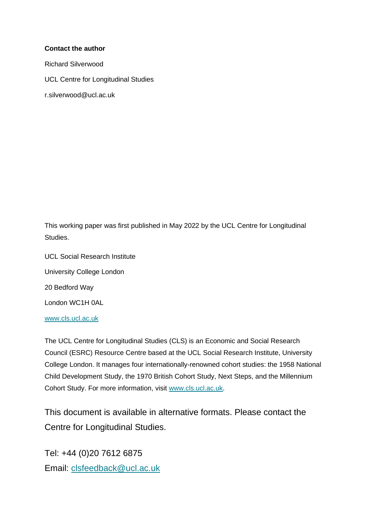#### **Contact the author**

Richard Silverwood UCL Centre for Longitudinal Studies r.silverwood@ucl.ac.uk

This working paper was first published in May 2022 by the UCL Centre for Longitudinal Studies.

UCL Social Research Institute University College London 20 Bedford Way London WC1H 0AL

[www.cls.ucl.ac.uk](http://www.cls.ucl.ac.uk/)

The UCL Centre for Longitudinal Studies (CLS) is an Economic and Social Research Council (ESRC) Resource Centre based at the UCL Social Research Institute, University College London. It manages four internationally-renowned cohort studies: the 1958 National Child Development Study, the 1970 British Cohort Study, Next Steps, and the Millennium Cohort Study. For more information, visit [www.cls.ucl.ac.uk.](http://www.cls.ucl.ac.uk/)

This document is available in alternative formats. Please contact the Centre for Longitudinal Studies.

Tel: +44 (0)20 7612 6875 Email: [clsfeedback@ucl.ac.uk](mailto:clsfeedback@ucl.ac.uk)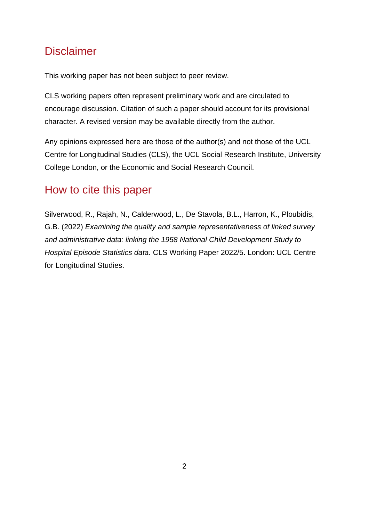## **Disclaimer**

This working paper has not been subject to peer review.

CLS working papers often represent preliminary work and are circulated to encourage discussion. Citation of such a paper should account for its provisional character. A revised version may be available directly from the author.

Any opinions expressed here are those of the author(s) and not those of the UCL Centre for Longitudinal Studies (CLS), the UCL Social Research Institute, University College London, or the Economic and Social Research Council.

## How to cite this paper

Silverwood, R., Rajah, N., Calderwood, L., De Stavola, B.L., Harron, K., Ploubidis, G.B. (2022) *Examining the quality and sample representativeness of linked survey and administrative data: linking the 1958 National Child Development Study to Hospital Episode Statistics data.* CLS Working Paper 2022/5. London: UCL Centre for Longitudinal Studies.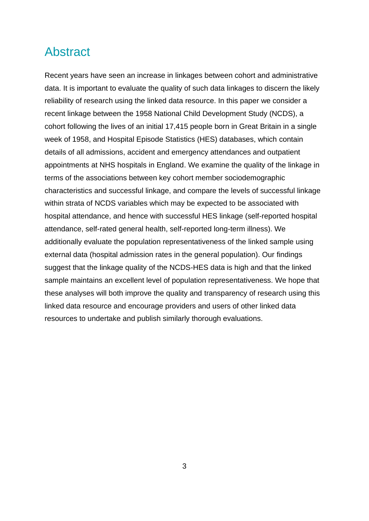## Abstract

Recent years have seen an increase in linkages between cohort and administrative data. It is important to evaluate the quality of such data linkages to discern the likely reliability of research using the linked data resource. In this paper we consider a recent linkage between the 1958 National Child Development Study (NCDS), a cohort following the lives of an initial 17,415 people born in Great Britain in a single week of 1958, and Hospital Episode Statistics (HES) databases, which contain details of all admissions, accident and emergency attendances and outpatient appointments at NHS hospitals in England. We examine the quality of the linkage in terms of the associations between key cohort member sociodemographic characteristics and successful linkage, and compare the levels of successful linkage within strata of NCDS variables which may be expected to be associated with hospital attendance, and hence with successful HES linkage (self-reported hospital attendance, self-rated general health, self-reported long-term illness). We additionally evaluate the population representativeness of the linked sample using external data (hospital admission rates in the general population). Our findings suggest that the linkage quality of the NCDS-HES data is high and that the linked sample maintains an excellent level of population representativeness. We hope that these analyses will both improve the quality and transparency of research using this linked data resource and encourage providers and users of other linked data resources to undertake and publish similarly thorough evaluations.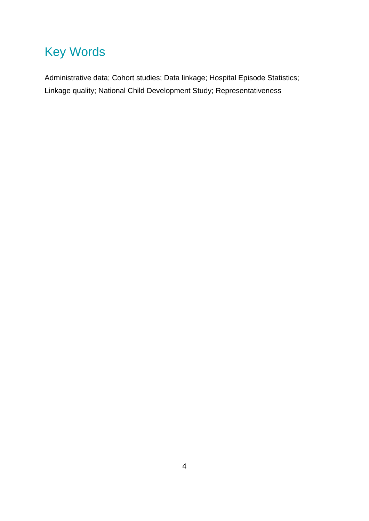## Key Words

Administrative data; Cohort studies; Data linkage; Hospital Episode Statistics; Linkage quality; National Child Development Study; Representativeness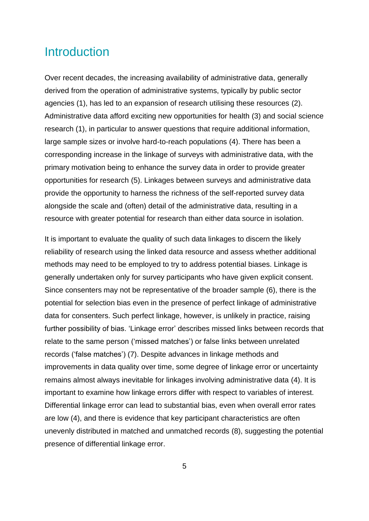## **Introduction**

Over recent decades, the increasing availability of administrative data, generally derived from the operation of administrative systems, typically by public sector agencies (1), has led to an expansion of research utilising these resources (2). Administrative data afford exciting new opportunities for health (3) and social science research (1), in particular to answer questions that require additional information, large sample sizes or involve hard-to-reach populations (4). There has been a corresponding increase in the linkage of surveys with administrative data, with the primary motivation being to enhance the survey data in order to provide greater opportunities for research (5). Linkages between surveys and administrative data provide the opportunity to harness the richness of the self-reported survey data alongside the scale and (often) detail of the administrative data, resulting in a resource with greater potential for research than either data source in isolation.

It is important to evaluate the quality of such data linkages to discern the likely reliability of research using the linked data resource and assess whether additional methods may need to be employed to try to address potential biases. Linkage is generally undertaken only for survey participants who have given explicit consent. Since consenters may not be representative of the broader sample (6), there is the potential for selection bias even in the presence of perfect linkage of administrative data for consenters. Such perfect linkage, however, is unlikely in practice, raising further possibility of bias. 'Linkage error' describes missed links between records that relate to the same person ('missed matches') or false links between unrelated records ('false matches') (7). Despite advances in linkage methods and improvements in data quality over time, some degree of linkage error or uncertainty remains almost always inevitable for linkages involving administrative data (4). It is important to examine how linkage errors differ with respect to variables of interest. Differential linkage error can lead to substantial bias, even when overall error rates are low (4), and there is evidence that key participant characteristics are often unevenly distributed in matched and unmatched records (8), suggesting the potential presence of differential linkage error.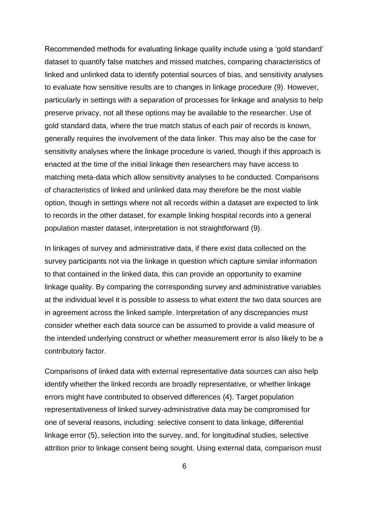Recommended methods for evaluating linkage quality include using a 'gold standard' dataset to quantify false matches and missed matches, comparing characteristics of linked and unlinked data to identify potential sources of bias, and sensitivity analyses to evaluate how sensitive results are to changes in linkage procedure (9). However, particularly in settings with a separation of processes for linkage and analysis to help preserve privacy, not all these options may be available to the researcher. Use of gold standard data, where the true match status of each pair of records is known, generally requires the involvement of the data linker. This may also be the case for sensitivity analyses where the linkage procedure is varied, though if this approach is enacted at the time of the initial linkage then researchers may have access to matching meta-data which allow sensitivity analyses to be conducted. Comparisons of characteristics of linked and unlinked data may therefore be the most viable option, though in settings where not all records within a dataset are expected to link to records in the other dataset, for example linking hospital records into a general population master dataset, interpretation is not straightforward (9).

In linkages of survey and administrative data, if there exist data collected on the survey participants not via the linkage in question which capture similar information to that contained in the linked data, this can provide an opportunity to examine linkage quality. By comparing the corresponding survey and administrative variables at the individual level it is possible to assess to what extent the two data sources are in agreement across the linked sample. Interpretation of any discrepancies must consider whether each data source can be assumed to provide a valid measure of the intended underlying construct or whether measurement error is also likely to be a contributory factor.

Comparisons of linked data with external representative data sources can also help identify whether the linked records are broadly representative, or whether linkage errors might have contributed to observed differences (4). Target population representativeness of linked survey-administrative data may be compromised for one of several reasons, including: selective consent to data linkage, differential linkage error (5), selection into the survey, and, for longitudinal studies, selective attrition prior to linkage consent being sought. Using external data, comparison must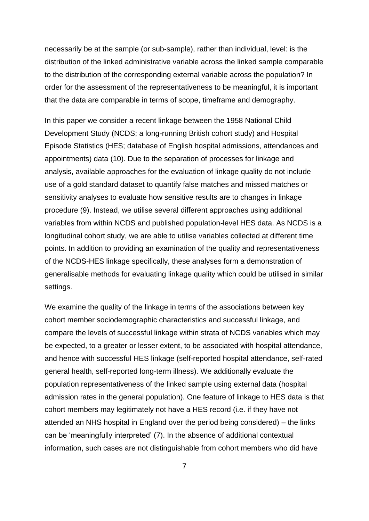necessarily be at the sample (or sub-sample), rather than individual, level: is the distribution of the linked administrative variable across the linked sample comparable to the distribution of the corresponding external variable across the population? In order for the assessment of the representativeness to be meaningful, it is important that the data are comparable in terms of scope, timeframe and demography.

In this paper we consider a recent linkage between the 1958 National Child Development Study (NCDS; a long-running British cohort study) and Hospital Episode Statistics (HES; database of English hospital admissions, attendances and appointments) data (10). Due to the separation of processes for linkage and analysis, available approaches for the evaluation of linkage quality do not include use of a gold standard dataset to quantify false matches and missed matches or sensitivity analyses to evaluate how sensitive results are to changes in linkage procedure (9). Instead, we utilise several different approaches using additional variables from within NCDS and published population-level HES data. As NCDS is a longitudinal cohort study, we are able to utilise variables collected at different time points. In addition to providing an examination of the quality and representativeness of the NCDS-HES linkage specifically, these analyses form a demonstration of generalisable methods for evaluating linkage quality which could be utilised in similar settings.

We examine the quality of the linkage in terms of the associations between key cohort member sociodemographic characteristics and successful linkage, and compare the levels of successful linkage within strata of NCDS variables which may be expected, to a greater or lesser extent, to be associated with hospital attendance, and hence with successful HES linkage (self-reported hospital attendance, self-rated general health, self-reported long-term illness). We additionally evaluate the population representativeness of the linked sample using external data (hospital admission rates in the general population). One feature of linkage to HES data is that cohort members may legitimately not have a HES record (i.e. if they have not attended an NHS hospital in England over the period being considered) – the links can be 'meaningfully interpreted' (7). In the absence of additional contextual information, such cases are not distinguishable from cohort members who did have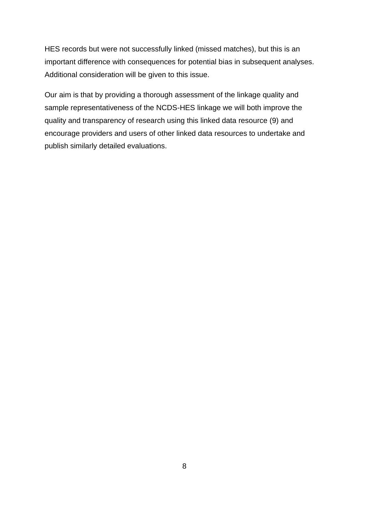HES records but were not successfully linked (missed matches), but this is an important difference with consequences for potential bias in subsequent analyses. Additional consideration will be given to this issue.

Our aim is that by providing a thorough assessment of the linkage quality and sample representativeness of the NCDS-HES linkage we will both improve the quality and transparency of research using this linked data resource (9) and encourage providers and users of other linked data resources to undertake and publish similarly detailed evaluations.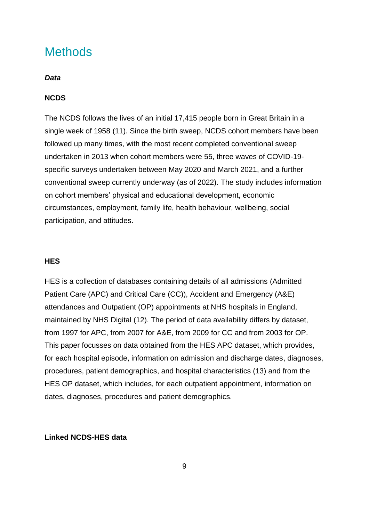## **Methods**

#### *Data*

#### **NCDS**

The NCDS follows the lives of an initial 17,415 people born in Great Britain in a single week of 1958 (11). Since the birth sweep, NCDS cohort members have been followed up many times, with the most recent completed conventional sweep undertaken in 2013 when cohort members were 55, three waves of COVID-19 specific surveys undertaken between May 2020 and March 2021, and a further conventional sweep currently underway (as of 2022). The study includes information on cohort members' physical and educational development, economic circumstances, employment, family life, health behaviour, wellbeing, social participation, and attitudes.

#### **HES**

HES is a collection of databases containing details of all admissions (Admitted Patient Care (APC) and Critical Care (CC)), Accident and Emergency (A&E) attendances and Outpatient (OP) appointments at NHS hospitals in England, maintained by NHS Digital (12). The period of data availability differs by dataset, from 1997 for APC, from 2007 for A&E, from 2009 for CC and from 2003 for OP. This paper focusses on data obtained from the HES APC dataset, which provides, for each hospital episode, information on admission and discharge dates, diagnoses, procedures, patient demographics, and hospital characteristics (13) and from the HES OP dataset, which includes, for each outpatient appointment, information on dates, diagnoses, procedures and patient demographics.

#### **Linked NCDS-HES data**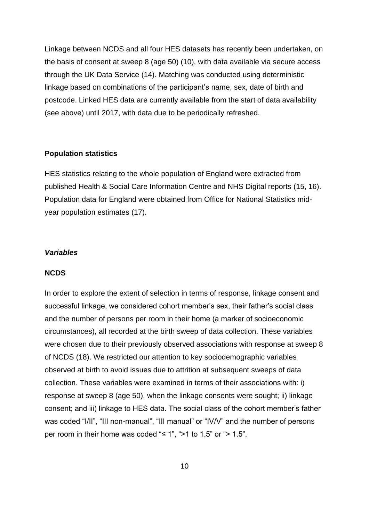Linkage between NCDS and all four HES datasets has recently been undertaken, on the basis of consent at sweep 8 (age 50) (10), with data available via secure access through the UK Data Service (14). Matching was conducted using deterministic linkage based on combinations of the participant's name, sex, date of birth and postcode. Linked HES data are currently available from the start of data availability (see above) until 2017, with data due to be periodically refreshed.

#### **Population statistics**

HES statistics relating to the whole population of England were extracted from published Health & Social Care Information Centre and NHS Digital reports (15, 16). Population data for England were obtained from Office for National Statistics midyear population estimates (17).

#### *Variables*

#### **NCDS**

In order to explore the extent of selection in terms of response, linkage consent and successful linkage, we considered cohort member's sex, their father's social class and the number of persons per room in their home (a marker of socioeconomic circumstances), all recorded at the birth sweep of data collection. These variables were chosen due to their previously observed associations with response at sweep 8 of NCDS (18). We restricted our attention to key sociodemographic variables observed at birth to avoid issues due to attrition at subsequent sweeps of data collection. These variables were examined in terms of their associations with: i) response at sweep 8 (age 50), when the linkage consents were sought; ii) linkage consent; and iii) linkage to HES data. The social class of the cohort member's father was coded "I/II", "III non-manual", "III manual" or "IV/V" and the number of persons per room in their home was coded " $\leq 1$ ", ">1 to 1.5" or "> 1.5".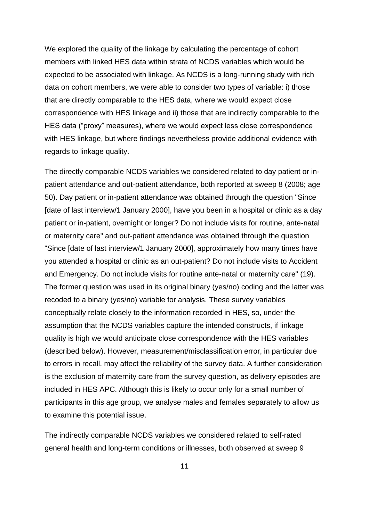We explored the quality of the linkage by calculating the percentage of cohort members with linked HES data within strata of NCDS variables which would be expected to be associated with linkage. As NCDS is a long-running study with rich data on cohort members, we were able to consider two types of variable: i) those that are directly comparable to the HES data, where we would expect close correspondence with HES linkage and ii) those that are indirectly comparable to the HES data ("proxy" measures), where we would expect less close correspondence with HES linkage, but where findings nevertheless provide additional evidence with regards to linkage quality.

The directly comparable NCDS variables we considered related to day patient or inpatient attendance and out-patient attendance, both reported at sweep 8 (2008; age 50). Day patient or in-patient attendance was obtained through the question "Since [date of last interview/1 January 2000], have you been in a hospital or clinic as a day patient or in-patient, overnight or longer? Do not include visits for routine, ante-natal or maternity care" and out-patient attendance was obtained through the question "Since [date of last interview/1 January 2000], approximately how many times have you attended a hospital or clinic as an out-patient? Do not include visits to Accident and Emergency. Do not include visits for routine ante-natal or maternity care" (19). The former question was used in its original binary (yes/no) coding and the latter was recoded to a binary (yes/no) variable for analysis. These survey variables conceptually relate closely to the information recorded in HES, so, under the assumption that the NCDS variables capture the intended constructs, if linkage quality is high we would anticipate close correspondence with the HES variables (described below). However, measurement/misclassification error, in particular due to errors in recall, may affect the reliability of the survey data. A further consideration is the exclusion of maternity care from the survey question, as delivery episodes are included in HES APC. Although this is likely to occur only for a small number of participants in this age group, we analyse males and females separately to allow us to examine this potential issue.

The indirectly comparable NCDS variables we considered related to self-rated general health and long-term conditions or illnesses, both observed at sweep 9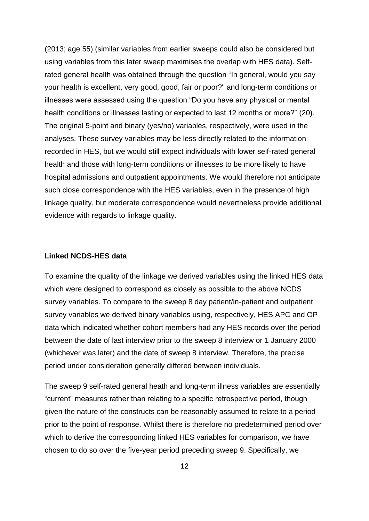(2013; age 55) (similar variables from earlier sweeps could also be considered but using variables from this later sweep maximises the overlap with HES data). Selfrated general health was obtained through the question "In general, would you say your health is excellent, very good, good, fair or poor?" and long-term conditions or illnesses were assessed using the question "Do you have any physical or mental health conditions or illnesses lasting or expected to last 12 months or more?" (20). The original 5-point and binary (yes/no) variables, respectively, were used in the analyses. These survey variables may be less directly related to the information recorded in HES, but we would still expect individuals with lower self-rated general health and those with long-term conditions or illnesses to be more likely to have hospital admissions and outpatient appointments. We would therefore not anticipate such close correspondence with the HES variables, even in the presence of high linkage quality, but moderate correspondence would nevertheless provide additional evidence with regards to linkage quality.

#### **Linked NCDS-HES data**

To examine the quality of the linkage we derived variables using the linked HES data which were designed to correspond as closely as possible to the above NCDS survey variables. To compare to the sweep 8 day patient/in-patient and outpatient survey variables we derived binary variables using, respectively, HES APC and OP data which indicated whether cohort members had any HES records over the period between the date of last interview prior to the sweep 8 interview or 1 January 2000 (whichever was later) and the date of sweep 8 interview. Therefore, the precise period under consideration generally differed between individuals.

The sweep 9 self-rated general heath and long-term illness variables are essentially "current" measures rather than relating to a specific retrospective period, though given the nature of the constructs can be reasonably assumed to relate to a period prior to the point of response. Whilst there is therefore no predetermined period over which to derive the corresponding linked HES variables for comparison, we have chosen to do so over the five-year period preceding sweep 9. Specifically, we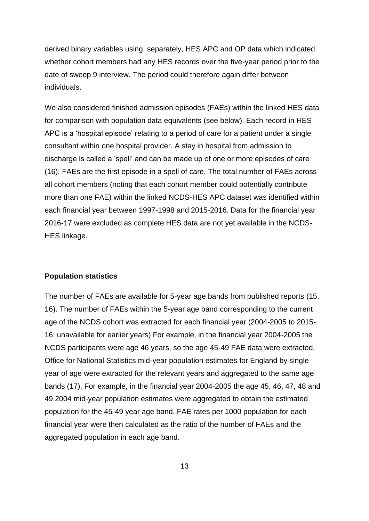derived binary variables using, separately, HES APC and OP data which indicated whether cohort members had any HES records over the five-year period prior to the date of sweep 9 interview. The period could therefore again differ between individuals.

We also considered finished admission episodes (FAEs) within the linked HES data for comparison with population data equivalents (see below). Each record in HES APC is a 'hospital episode' relating to a period of care for a patient under a single consultant within one hospital provider. A stay in hospital from admission to discharge is called a 'spell' and can be made up of one or more episodes of care (16). FAEs are the first episode in a spell of care. The total number of FAEs across all cohort members (noting that each cohort member could potentially contribute more than one FAE) within the linked NCDS-HES APC dataset was identified within each financial year between 1997-1998 and 2015-2016. Data for the financial year 2016-17 were excluded as complete HES data are not yet available in the NCDS-HES linkage.

#### **Population statistics**

The number of FAEs are available for 5-year age bands from published reports (15, 16). The number of FAEs within the 5-year age band corresponding to the current age of the NCDS cohort was extracted for each financial year (2004-2005 to 2015- 16; unavailable for earlier years) For example, in the financial year 2004-2005 the NCDS participants were age 46 years, so the age 45-49 FAE data were extracted. Office for National Statistics mid-year population estimates for England by single year of age were extracted for the relevant years and aggregated to the same age bands (17). For example, in the financial year 2004-2005 the age 45, 46, 47, 48 and 49 2004 mid-year population estimates were aggregated to obtain the estimated population for the 45-49 year age band. FAE rates per 1000 population for each financial year were then calculated as the ratio of the number of FAEs and the aggregated population in each age band.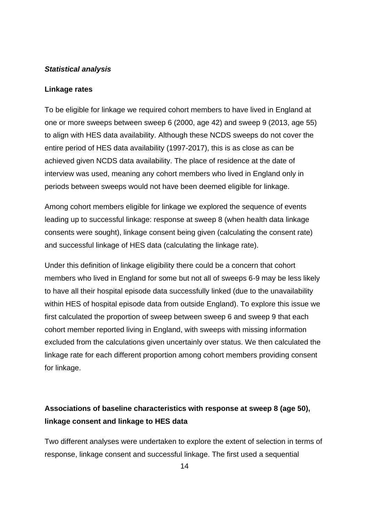#### *Statistical analysis*

#### **Linkage rates**

To be eligible for linkage we required cohort members to have lived in England at one or more sweeps between sweep 6 (2000, age 42) and sweep 9 (2013, age 55) to align with HES data availability. Although these NCDS sweeps do not cover the entire period of HES data availability (1997-2017), this is as close as can be achieved given NCDS data availability. The place of residence at the date of interview was used, meaning any cohort members who lived in England only in periods between sweeps would not have been deemed eligible for linkage.

Among cohort members eligible for linkage we explored the sequence of events leading up to successful linkage: response at sweep 8 (when health data linkage consents were sought), linkage consent being given (calculating the consent rate) and successful linkage of HES data (calculating the linkage rate).

Under this definition of linkage eligibility there could be a concern that cohort members who lived in England for some but not all of sweeps 6-9 may be less likely to have all their hospital episode data successfully linked (due to the unavailability within HES of hospital episode data from outside England). To explore this issue we first calculated the proportion of sweep between sweep 6 and sweep 9 that each cohort member reported living in England, with sweeps with missing information excluded from the calculations given uncertainly over status. We then calculated the linkage rate for each different proportion among cohort members providing consent for linkage.

#### **Associations of baseline characteristics with response at sweep 8 (age 50), linkage consent and linkage to HES data**

Two different analyses were undertaken to explore the extent of selection in terms of response, linkage consent and successful linkage. The first used a sequential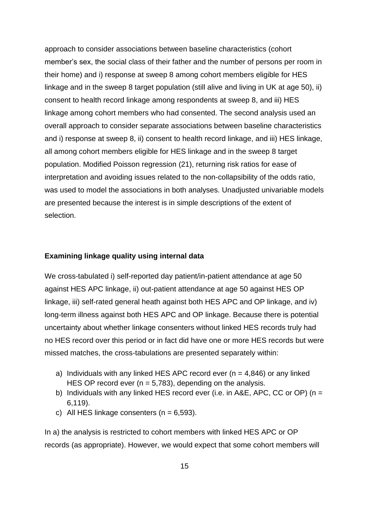approach to consider associations between baseline characteristics (cohort member's sex, the social class of their father and the number of persons per room in their home) and i) response at sweep 8 among cohort members eligible for HES linkage and in the sweep 8 target population (still alive and living in UK at age 50), ii) consent to health record linkage among respondents at sweep 8, and iii) HES linkage among cohort members who had consented. The second analysis used an overall approach to consider separate associations between baseline characteristics and i) response at sweep 8, ii) consent to health record linkage, and iii) HES linkage, all among cohort members eligible for HES linkage and in the sweep 8 target population. Modified Poisson regression (21), returning risk ratios for ease of interpretation and avoiding issues related to the non-collapsibility of the odds ratio, was used to model the associations in both analyses. Unadjusted univariable models are presented because the interest is in simple descriptions of the extent of selection.

#### **Examining linkage quality using internal data**

We cross-tabulated i) self-reported day patient/in-patient attendance at age 50 against HES APC linkage, ii) out-patient attendance at age 50 against HES OP linkage, iii) self-rated general heath against both HES APC and OP linkage, and iv) long-term illness against both HES APC and OP linkage. Because there is potential uncertainty about whether linkage consenters without linked HES records truly had no HES record over this period or in fact did have one or more HES records but were missed matches, the cross-tabulations are presented separately within:

- a) Individuals with any linked HES APC record ever  $(n = 4,846)$  or any linked HES OP record ever  $(n = 5.783)$ , depending on the analysis.
- b) Individuals with any linked HES record ever (i.e. in A&E, APC, CC or OP) (n = 6,119).
- c) All HES linkage consenters ( $n = 6,593$ ).

In a) the analysis is restricted to cohort members with linked HES APC or OP records (as appropriate). However, we would expect that some cohort members will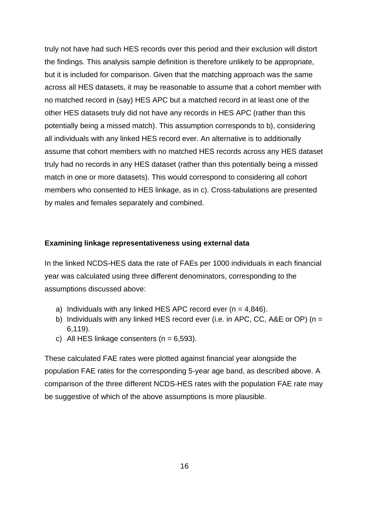truly not have had such HES records over this period and their exclusion will distort the findings. This analysis sample definition is therefore unlikely to be appropriate, but it is included for comparison. Given that the matching approach was the same across all HES datasets, it may be reasonable to assume that a cohort member with no matched record in (say) HES APC but a matched record in at least one of the other HES datasets truly did not have any records in HES APC (rather than this potentially being a missed match). This assumption corresponds to b), considering all individuals with any linked HES record ever. An alternative is to additionally assume that cohort members with no matched HES records across any HES dataset truly had no records in any HES dataset (rather than this potentially being a missed match in one or more datasets). This would correspond to considering all cohort members who consented to HES linkage, as in c). Cross-tabulations are presented by males and females separately and combined.

#### **Examining linkage representativeness using external data**

In the linked NCDS-HES data the rate of FAEs per 1000 individuals in each financial year was calculated using three different denominators, corresponding to the assumptions discussed above:

- a) Individuals with any linked HES APC record ever  $(n = 4.846)$ .
- b) Individuals with any linked HES record ever (i.e. in APC, CC, A&E or OP) ( $n =$ 6,119).
- c) All HES linkage consenters ( $n = 6,593$ ).

These calculated FAE rates were plotted against financial year alongside the population FAE rates for the corresponding 5-year age band, as described above. A comparison of the three different NCDS-HES rates with the population FAE rate may be suggestive of which of the above assumptions is more plausible.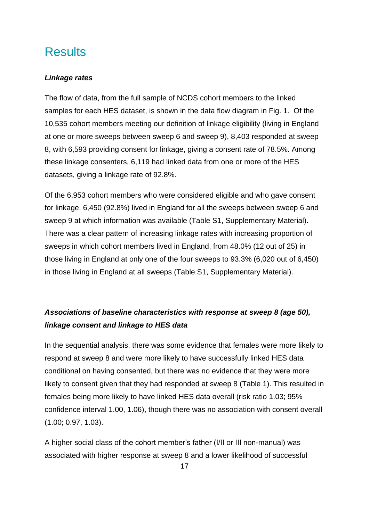## **Results**

#### *Linkage rates*

The flow of data, from the full sample of NCDS cohort members to the linked samples for each HES dataset, is shown in the data flow diagram in Fig. 1. Of the 10,535 cohort members meeting our definition of linkage eligibility (living in England at one or more sweeps between sweep 6 and sweep 9), 8,403 responded at sweep 8, with 6,593 providing consent for linkage, giving a consent rate of 78.5%. Among these linkage consenters, 6,119 had linked data from one or more of the HES datasets, giving a linkage rate of 92.8%.

Of the 6,953 cohort members who were considered eligible and who gave consent for linkage, 6,450 (92.8%) lived in England for all the sweeps between sweep 6 and sweep 9 at which information was available (Table S1, Supplementary Material). There was a clear pattern of increasing linkage rates with increasing proportion of sweeps in which cohort members lived in England, from 48.0% (12 out of 25) in those living in England at only one of the four sweeps to 93.3% (6,020 out of 6,450) in those living in England at all sweeps (Table S1, Supplementary Material).

#### *Associations of baseline characteristics with response at sweep 8 (age 50), linkage consent and linkage to HES data*

In the sequential analysis, there was some evidence that females were more likely to respond at sweep 8 and were more likely to have successfully linked HES data conditional on having consented, but there was no evidence that they were more likely to consent given that they had responded at sweep 8 (Table 1). This resulted in females being more likely to have linked HES data overall (risk ratio 1.03; 95% confidence interval 1.00, 1.06), though there was no association with consent overall (1.00; 0.97, 1.03).

A higher social class of the cohort member's father (I/II or III non-manual) was associated with higher response at sweep 8 and a lower likelihood of successful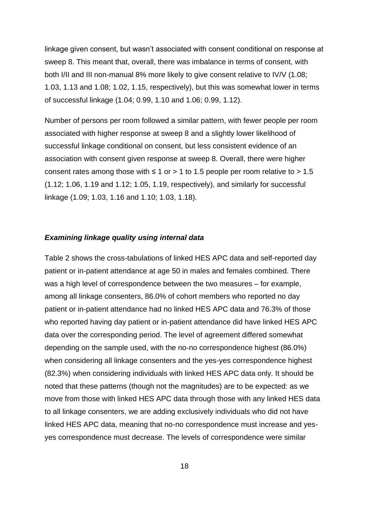linkage given consent, but wasn't associated with consent conditional on response at sweep 8. This meant that, overall, there was imbalance in terms of consent, with both I/II and III non-manual 8% more likely to give consent relative to IV/V (1.08; 1.03, 1.13 and 1.08; 1.02, 1.15, respectively), but this was somewhat lower in terms of successful linkage (1.04; 0.99, 1.10 and 1.06; 0.99, 1.12).

Number of persons per room followed a similar pattern, with fewer people per room associated with higher response at sweep 8 and a slightly lower likelihood of successful linkage conditional on consent, but less consistent evidence of an association with consent given response at sweep 8. Overall, there were higher consent rates among those with  $\leq 1$  or  $> 1$  to 1.5 people per room relative to  $> 1.5$ (1.12; 1.06, 1.19 and 1.12; 1.05, 1.19, respectively), and similarly for successful linkage (1.09; 1.03, 1.16 and 1.10; 1.03, 1.18).

#### *Examining linkage quality using internal data*

Table 2 shows the cross-tabulations of linked HES APC data and self-reported day patient or in-patient attendance at age 50 in males and females combined. There was a high level of correspondence between the two measures – for example, among all linkage consenters, 86.0% of cohort members who reported no day patient or in-patient attendance had no linked HES APC data and 76.3% of those who reported having day patient or in-patient attendance did have linked HES APC data over the corresponding period. The level of agreement differed somewhat depending on the sample used, with the no-no correspondence highest (86.0%) when considering all linkage consenters and the yes-yes correspondence highest (82.3%) when considering individuals with linked HES APC data only. It should be noted that these patterns (though not the magnitudes) are to be expected: as we move from those with linked HES APC data through those with any linked HES data to all linkage consenters, we are adding exclusively individuals who did not have linked HES APC data, meaning that no-no correspondence must increase and yesyes correspondence must decrease. The levels of correspondence were similar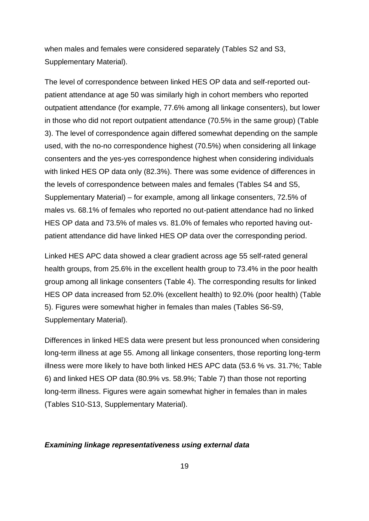when males and females were considered separately (Tables S2 and S3, Supplementary Material).

The level of correspondence between linked HES OP data and self-reported outpatient attendance at age 50 was similarly high in cohort members who reported outpatient attendance (for example, 77.6% among all linkage consenters), but lower in those who did not report outpatient attendance (70.5% in the same group) (Table 3). The level of correspondence again differed somewhat depending on the sample used, with the no-no correspondence highest (70.5%) when considering all linkage consenters and the yes-yes correspondence highest when considering individuals with linked HES OP data only (82.3%). There was some evidence of differences in the levels of correspondence between males and females (Tables S4 and S5, Supplementary Material) – for example, among all linkage consenters, 72.5% of males vs. 68.1% of females who reported no out-patient attendance had no linked HES OP data and 73.5% of males vs. 81.0% of females who reported having outpatient attendance did have linked HES OP data over the corresponding period.

Linked HES APC data showed a clear gradient across age 55 self-rated general health groups, from 25.6% in the excellent health group to 73.4% in the poor health group among all linkage consenters (Table 4). The corresponding results for linked HES OP data increased from 52.0% (excellent health) to 92.0% (poor health) (Table 5). Figures were somewhat higher in females than males (Tables S6-S9, Supplementary Material).

Differences in linked HES data were present but less pronounced when considering long-term illness at age 55. Among all linkage consenters, those reporting long-term illness were more likely to have both linked HES APC data (53.6 % vs. 31.7%; Table 6) and linked HES OP data (80.9% vs. 58.9%; Table 7) than those not reporting long-term illness. Figures were again somewhat higher in females than in males (Tables S10-S13, Supplementary Material).

#### *Examining linkage representativeness using external data*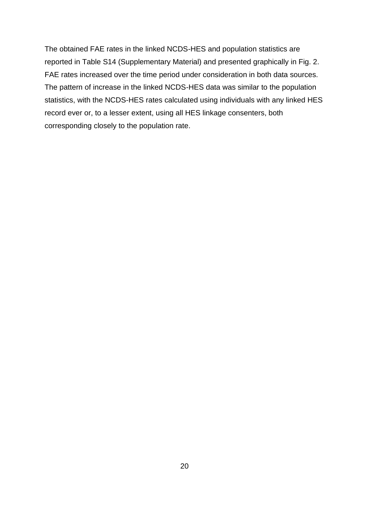The obtained FAE rates in the linked NCDS-HES and population statistics are reported in Table S14 (Supplementary Material) and presented graphically in Fig. 2. FAE rates increased over the time period under consideration in both data sources. The pattern of increase in the linked NCDS-HES data was similar to the population statistics, with the NCDS-HES rates calculated using individuals with any linked HES record ever or, to a lesser extent, using all HES linkage consenters, both corresponding closely to the population rate.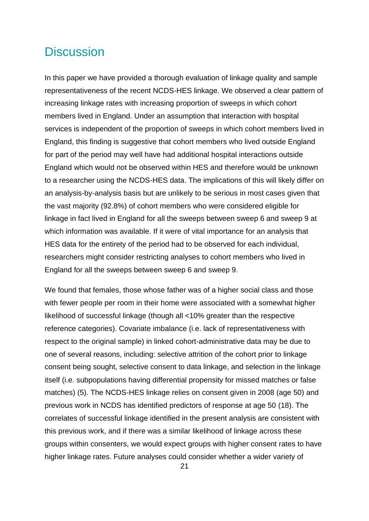## **Discussion**

In this paper we have provided a thorough evaluation of linkage quality and sample representativeness of the recent NCDS-HES linkage. We observed a clear pattern of increasing linkage rates with increasing proportion of sweeps in which cohort members lived in England. Under an assumption that interaction with hospital services is independent of the proportion of sweeps in which cohort members lived in England, this finding is suggestive that cohort members who lived outside England for part of the period may well have had additional hospital interactions outside England which would not be observed within HES and therefore would be unknown to a researcher using the NCDS-HES data. The implications of this will likely differ on an analysis-by-analysis basis but are unlikely to be serious in most cases given that the vast majority (92.8%) of cohort members who were considered eligible for linkage in fact lived in England for all the sweeps between sweep 6 and sweep 9 at which information was available. If it were of vital importance for an analysis that HES data for the entirety of the period had to be observed for each individual, researchers might consider restricting analyses to cohort members who lived in England for all the sweeps between sweep 6 and sweep 9.

We found that females, those whose father was of a higher social class and those with fewer people per room in their home were associated with a somewhat higher likelihood of successful linkage (though all <10% greater than the respective reference categories). Covariate imbalance (i.e. lack of representativeness with respect to the original sample) in linked cohort-administrative data may be due to one of several reasons, including: selective attrition of the cohort prior to linkage consent being sought, selective consent to data linkage, and selection in the linkage itself (i.e. subpopulations having differential propensity for missed matches or false matches) (5). The NCDS-HES linkage relies on consent given in 2008 (age 50) and previous work in NCDS has identified predictors of response at age 50 (18). The correlates of successful linkage identified in the present analysis are consistent with this previous work, and if there was a similar likelihood of linkage across these groups within consenters, we would expect groups with higher consent rates to have higher linkage rates. Future analyses could consider whether a wider variety of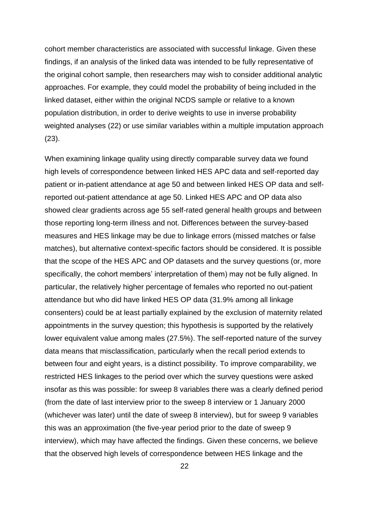cohort member characteristics are associated with successful linkage. Given these findings, if an analysis of the linked data was intended to be fully representative of the original cohort sample, then researchers may wish to consider additional analytic approaches. For example, they could model the probability of being included in the linked dataset, either within the original NCDS sample or relative to a known population distribution, in order to derive weights to use in inverse probability weighted analyses (22) or use similar variables within a multiple imputation approach (23).

When examining linkage quality using directly comparable survey data we found high levels of correspondence between linked HES APC data and self-reported day patient or in-patient attendance at age 50 and between linked HES OP data and selfreported out-patient attendance at age 50. Linked HES APC and OP data also showed clear gradients across age 55 self-rated general health groups and between those reporting long-term illness and not. Differences between the survey-based measures and HES linkage may be due to linkage errors (missed matches or false matches), but alternative context-specific factors should be considered. It is possible that the scope of the HES APC and OP datasets and the survey questions (or, more specifically, the cohort members' interpretation of them) may not be fully aligned. In particular, the relatively higher percentage of females who reported no out-patient attendance but who did have linked HES OP data (31.9% among all linkage consenters) could be at least partially explained by the exclusion of maternity related appointments in the survey question; this hypothesis is supported by the relatively lower equivalent value among males (27.5%). The self-reported nature of the survey data means that misclassification, particularly when the recall period extends to between four and eight years, is a distinct possibility. To improve comparability, we restricted HES linkages to the period over which the survey questions were asked insofar as this was possible: for sweep 8 variables there was a clearly defined period (from the date of last interview prior to the sweep 8 interview or 1 January 2000 (whichever was later) until the date of sweep 8 interview), but for sweep 9 variables this was an approximation (the five-year period prior to the date of sweep 9 interview), which may have affected the findings. Given these concerns, we believe that the observed high levels of correspondence between HES linkage and the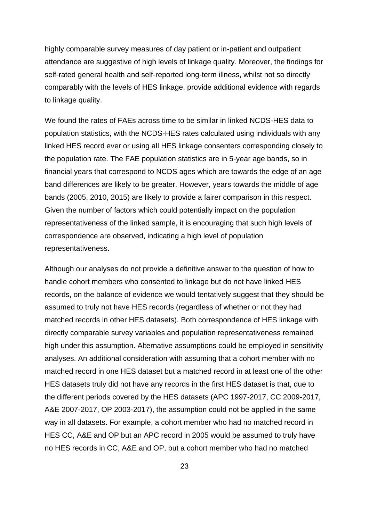highly comparable survey measures of day patient or in-patient and outpatient attendance are suggestive of high levels of linkage quality. Moreover, the findings for self-rated general health and self-reported long-term illness, whilst not so directly comparably with the levels of HES linkage, provide additional evidence with regards to linkage quality.

We found the rates of FAEs across time to be similar in linked NCDS-HES data to population statistics, with the NCDS-HES rates calculated using individuals with any linked HES record ever or using all HES linkage consenters corresponding closely to the population rate. The FAE population statistics are in 5-year age bands, so in financial years that correspond to NCDS ages which are towards the edge of an age band differences are likely to be greater. However, years towards the middle of age bands (2005, 2010, 2015) are likely to provide a fairer comparison in this respect. Given the number of factors which could potentially impact on the population representativeness of the linked sample, it is encouraging that such high levels of correspondence are observed, indicating a high level of population representativeness.

Although our analyses do not provide a definitive answer to the question of how to handle cohort members who consented to linkage but do not have linked HES records, on the balance of evidence we would tentatively suggest that they should be assumed to truly not have HES records (regardless of whether or not they had matched records in other HES datasets). Both correspondence of HES linkage with directly comparable survey variables and population representativeness remained high under this assumption. Alternative assumptions could be employed in sensitivity analyses. An additional consideration with assuming that a cohort member with no matched record in one HES dataset but a matched record in at least one of the other HES datasets truly did not have any records in the first HES dataset is that, due to the different periods covered by the HES datasets (APC 1997-2017, CC 2009-2017, A&E 2007-2017, OP 2003-2017), the assumption could not be applied in the same way in all datasets. For example, a cohort member who had no matched record in HES CC, A&E and OP but an APC record in 2005 would be assumed to truly have no HES records in CC, A&E and OP, but a cohort member who had no matched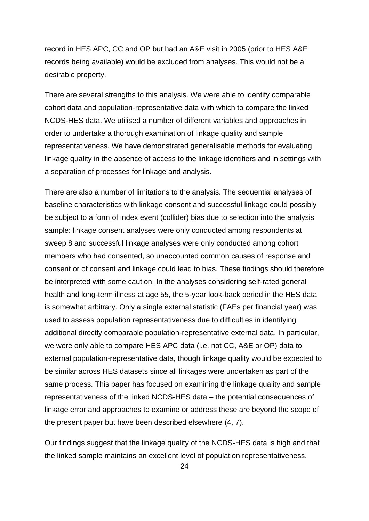record in HES APC, CC and OP but had an A&E visit in 2005 (prior to HES A&E records being available) would be excluded from analyses. This would not be a desirable property.

There are several strengths to this analysis. We were able to identify comparable cohort data and population-representative data with which to compare the linked NCDS-HES data. We utilised a number of different variables and approaches in order to undertake a thorough examination of linkage quality and sample representativeness. We have demonstrated generalisable methods for evaluating linkage quality in the absence of access to the linkage identifiers and in settings with a separation of processes for linkage and analysis.

There are also a number of limitations to the analysis. The sequential analyses of baseline characteristics with linkage consent and successful linkage could possibly be subject to a form of index event (collider) bias due to selection into the analysis sample: linkage consent analyses were only conducted among respondents at sweep 8 and successful linkage analyses were only conducted among cohort members who had consented, so unaccounted common causes of response and consent or of consent and linkage could lead to bias. These findings should therefore be interpreted with some caution. In the analyses considering self-rated general health and long-term illness at age 55, the 5-year look-back period in the HES data is somewhat arbitrary. Only a single external statistic (FAEs per financial year) was used to assess population representativeness due to difficulties in identifying additional directly comparable population-representative external data. In particular, we were only able to compare HES APC data (i.e. not CC, A&E or OP) data to external population-representative data, though linkage quality would be expected to be similar across HES datasets since all linkages were undertaken as part of the same process. This paper has focused on examining the linkage quality and sample representativeness of the linked NCDS-HES data – the potential consequences of linkage error and approaches to examine or address these are beyond the scope of the present paper but have been described elsewhere (4, 7).

Our findings suggest that the linkage quality of the NCDS-HES data is high and that the linked sample maintains an excellent level of population representativeness.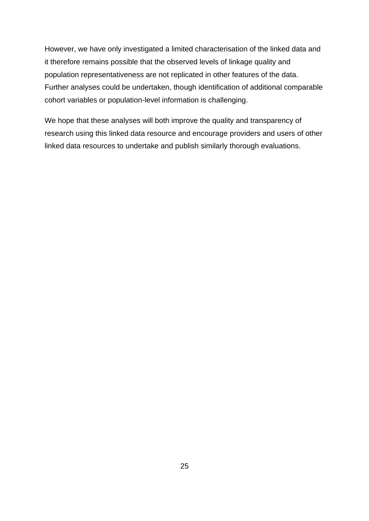However, we have only investigated a limited characterisation of the linked data and it therefore remains possible that the observed levels of linkage quality and population representativeness are not replicated in other features of the data. Further analyses could be undertaken, though identification of additional comparable cohort variables or population-level information is challenging.

We hope that these analyses will both improve the quality and transparency of research using this linked data resource and encourage providers and users of other linked data resources to undertake and publish similarly thorough evaluations.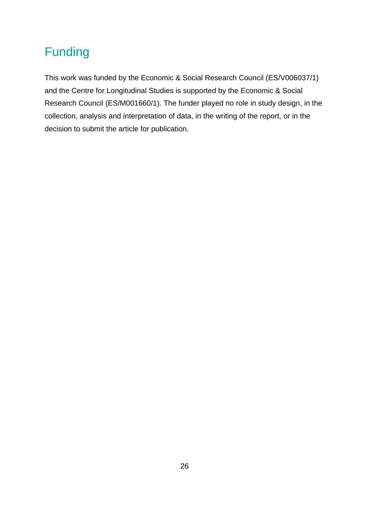## Funding

This work was funded by the Economic & Social Research Council (ES/V006037/1) and the Centre for Longitudinal Studies is supported by the Economic & Social Research Council (ES/M001660/1). The funder played no role in study design, in the collection, analysis and interpretation of data, in the writing of the report, or in the decision to submit the article for publication.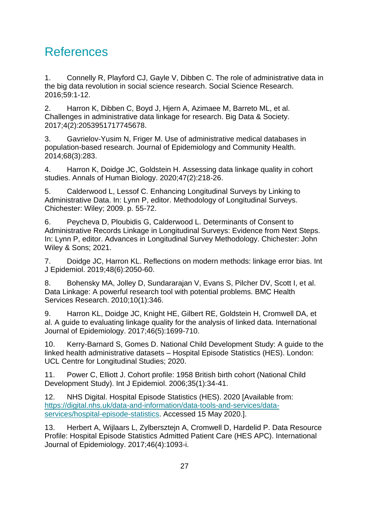## References

1. Connelly R, Playford CJ, Gayle V, Dibben C. The role of administrative data in the big data revolution in social science research. Social Science Research. 2016;59:1-12.

2. Harron K, Dibben C, Boyd J, Hjern A, Azimaee M, Barreto ML, et al. Challenges in administrative data linkage for research. Big Data & Society. 2017;4(2):2053951717745678.

3. Gavrielov-Yusim N, Friger M. Use of administrative medical databases in population-based research. Journal of Epidemiology and Community Health. 2014;68(3):283.

4. Harron K, Doidge JC, Goldstein H. Assessing data linkage quality in cohort studies. Annals of Human Biology. 2020;47(2):218-26.

5. Calderwood L, Lessof C. Enhancing Longitudinal Surveys by Linking to Administrative Data. In: Lynn P, editor. Methodology of Longitudinal Surveys. Chichester: Wiley; 2009. p. 55-72.

6. Peycheva D, Ploubidis G, Calderwood L. Determinants of Consent to Administrative Records Linkage in Longitudinal Surveys: Evidence from Next Steps. In: Lynn P, editor. Advances in Longitudinal Survey Methodology. Chichester: John Wiley & Sons; 2021.

7. Doidge JC, Harron KL. Reflections on modern methods: linkage error bias. Int J Epidemiol. 2019;48(6):2050-60.

8. Bohensky MA, Jolley D, Sundararajan V, Evans S, Pilcher DV, Scott I, et al. Data Linkage: A powerful research tool with potential problems. BMC Health Services Research. 2010;10(1):346.

9. Harron KL, Doidge JC, Knight HE, Gilbert RE, Goldstein H, Cromwell DA, et al. A guide to evaluating linkage quality for the analysis of linked data. International Journal of Epidemiology. 2017;46(5):1699-710.

10. Kerry-Barnard S, Gomes D. National Child Development Study: A guide to the linked health administrative datasets – Hospital Episode Statistics (HES). London: UCL Centre for Longitudinal Studies; 2020.

11. Power C, Elliott J. Cohort profile: 1958 British birth cohort (National Child Development Study). Int J Epidemiol. 2006;35(1):34-41.

12. NHS Digital. Hospital Episode Statistics (HES). 2020 [Available from: [https://digital.nhs.uk/data-and-information/data-tools-and-services/data](https://digital.nhs.uk/data-and-information/data-tools-and-services/data-services/hospital-episode-statistics)[services/hospital-episode-statistics.](https://digital.nhs.uk/data-and-information/data-tools-and-services/data-services/hospital-episode-statistics) Accessed 15 May 2020.].

13. Herbert A, Wijlaars L, Zylbersztejn A, Cromwell D, Hardelid P. Data Resource Profile: Hospital Episode Statistics Admitted Patient Care (HES APC). International Journal of Epidemiology. 2017;46(4):1093-i.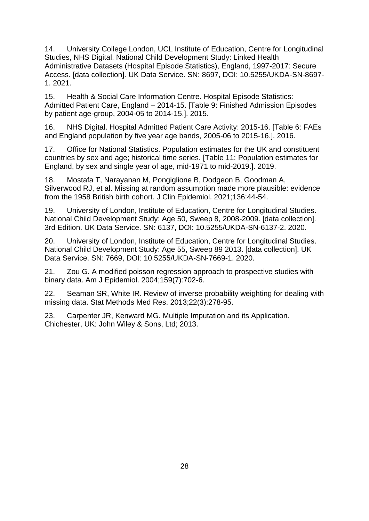14. University College London, UCL Institute of Education, Centre for Longitudinal Studies, NHS Digital. National Child Development Study: Linked Health Administrative Datasets (Hospital Episode Statistics), England, 1997-2017: Secure Access. [data collection]. UK Data Service. SN: 8697, DOI: 10.5255/UKDA-SN-8697- 1. 2021.

15. Health & Social Care Information Centre. Hospital Episode Statistics: Admitted Patient Care, England – 2014-15. [Table 9: Finished Admission Episodes by patient age-group, 2004-05 to 2014-15.]. 2015.

16. NHS Digital. Hospital Admitted Patient Care Activity: 2015-16. [Table 6: FAEs and England population by five year age bands, 2005-06 to 2015-16.]. 2016.

17. Office for National Statistics. Population estimates for the UK and constituent countries by sex and age; historical time series. [Table 11: Population estimates for England, by sex and single year of age, mid-1971 to mid-2019.]. 2019.

18. Mostafa T, Narayanan M, Pongiglione B, Dodgeon B, Goodman A, Silverwood RJ, et al. Missing at random assumption made more plausible: evidence from the 1958 British birth cohort. J Clin Epidemiol. 2021;136:44-54.

19. University of London, Institute of Education, Centre for Longitudinal Studies. National Child Development Study: Age 50, Sweep 8, 2008-2009. [data collection]. 3rd Edition. UK Data Service. SN: 6137, DOI: 10.5255/UKDA-SN-6137-2. 2020.

20. University of London, Institute of Education, Centre for Longitudinal Studies. National Child Development Study: Age 55, Sweep 89 2013. [data collection]. UK Data Service. SN: 7669, DOI: 10.5255/UKDA-SN-7669-1. 2020.

21. Zou G. A modified poisson regression approach to prospective studies with binary data. Am J Epidemiol. 2004;159(7):702-6.

22. Seaman SR, White IR. Review of inverse probability weighting for dealing with missing data. Stat Methods Med Res. 2013;22(3):278-95.

23. Carpenter JR, Kenward MG. Multiple Imputation and its Application. Chichester, UK: John Wiley & Sons, Ltd; 2013.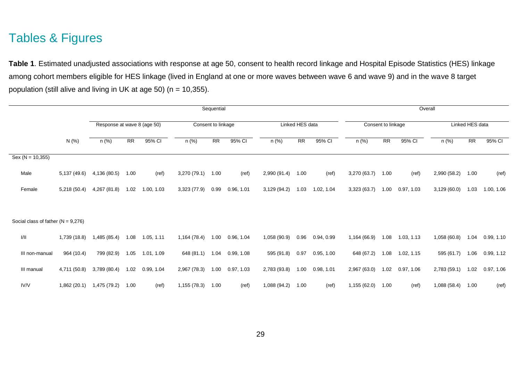## Tables & Figures

**Table 1**. Estimated unadjusted associations with response at age 50, consent to health record linkage and Hospital Episode Statistics (HES) linkage among cohort members eligible for HES linkage (lived in England at one or more waves between wave 6 and wave 9) and in the wave 8 target population (still alive and living in UK at age 50) (n = 10,355).

|                                      |              |                             | Sequential |            |              |                    |            |              |                 |            | Overall      |                    |            |                 |                 |            |
|--------------------------------------|--------------|-----------------------------|------------|------------|--------------|--------------------|------------|--------------|-----------------|------------|--------------|--------------------|------------|-----------------|-----------------|------------|
|                                      |              | Response at wave 8 (age 50) |            |            |              | Consent to linkage |            |              | Linked HES data |            |              | Consent to linkage |            | Linked HES data |                 |            |
|                                      | N (%)        | n (%)                       | <b>RR</b>  | 95% CI     | n (%)        | <b>RR</b>          | 95% CI     | n (%)        | RR              | 95% CI     | n (%)        | <b>RR</b>          | 95% CI     | n (%)           | $\overline{RR}$ | 95% CI     |
| $Sex (N = 10,355)$                   |              |                             |            |            |              |                    |            |              |                 |            |              |                    |            |                 |                 |            |
| Male                                 | 5,137 (49.6) | 4,136 (80.5)                | 1.00       | (ref)      | 3,270 (79.1) | 1.00               | (ref)      | 2,990 (91.4) | 1.00            | (ref)      | 3,270 (63.7) | 1.00               | (ref)      | 2,990 (58.2)    | 1.00            | (ref)      |
| Female                               | 5,218 (50.4) | 4,267 (81.8)                | 1.02       | 1.00, 1.03 | 3,323 (77.9) | 0.99               | 0.96, 1.01 | 3,129 (94.2) | 1.03            | 1.02, 1.04 | 3,323(63.7)  | 1.00               | 0.97, 1.03 | 3,129(60.0)     | 1.03            | 1.00, 1.06 |
|                                      |              |                             |            |            |              |                    |            |              |                 |            |              |                    |            |                 |                 |            |
| Social class of father $(N = 9,276)$ |              |                             |            |            |              |                    |            |              |                 |            |              |                    |            |                 |                 |            |
| 1/11                                 | 1,739 (18.8) | 1,485 (85.4)                | 1.08       | 1.05, 1.11 | 1,164 (78.4) | 1.00               | 0.96, 1.04 | 1,058 (90.9) | 0.96            | 0.94, 0.99 | 1,164 (66.9) | 1.08               | 1.03, 1.13 | 1,058 (60.8)    | 1.04            | 0.99, 1.10 |
| III non-manual                       | 964 (10.4)   | 799 (82.9)                  | 1.05       | 1.01, 1.09 | 648 (81.1)   | 1.04               | 0.99, 1.08 | 595 (91.8)   | 0.97            | 0.95, 1.00 | 648 (67.2)   | 1.08               | 1.02, 1.15 | 595 (61.7)      | 1.06            | 0.99, 1.12 |
| III manual                           | 4,711 (50.8) | 3,789 (80.4)                | 1.02       | 0.99, 1.04 | 2,967 (78.3) | 1.00               | 0.97, 1.03 | 2,783 (93.8) | 1.00            | 0.98, 1.01 | 2,967 (63.0) | 1.02               | 0.97, 1.06 | 2,783 (59.1)    | 1.02            | 0.97, 1.06 |
| IV/V                                 | 1,862 (20.1) | 1,475 (79.2)                | 1.00       | (ref)      | 1,155 (78.3) | 1.00               | (ref)      | 1,088 (94.2) | 1.00            | (ref)      | 1,155 (62.0) | 1.00               | (ref)      | 1,088 (58.4)    | 1.00            | (ref)      |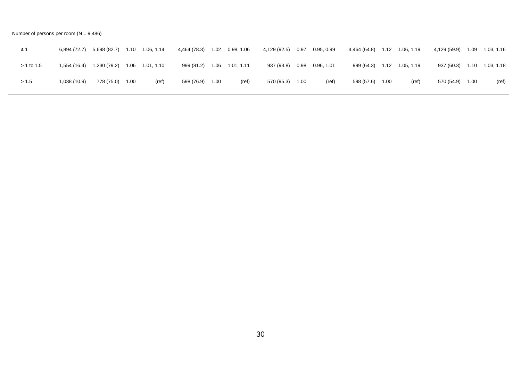Number of persons per room  $(N = 9,486)$ 

| ≤ 1          | 6,894 (72.7) | 5,698 (82.7) | 1.10 | 1.06, 1.14      | 4,464 (78.3) |      | 1.02  0.98, 1.06 | 4,129 (92.5) | 0.97 | 0.95, 0.99        | 4,464 (64.8) | 1.12 | 1.06, 1.19      | 4,129 (59.9) | 1.09 | 1.03, 1.16             |
|--------------|--------------|--------------|------|-----------------|--------------|------|------------------|--------------|------|-------------------|--------------|------|-----------------|--------------|------|------------------------|
| $> 1$ to 1.5 | 1,554 (16.4) | 1,230 (79.2) |      | 1.06 1.01, 1.10 | 999 (81.2)   | 1.06 | 1.01, 1.11       | 937 (93.8)   |      | $0.98$ 0.96, 1.01 | 999 (64.3)   |      | 1.12 1.05, 1.19 | 937 (60.3)   |      | $1.10$ $1.03$ , $1.18$ |
| > 1.5        | 1,038(10.9)  | 778 (75.0)   | 1.00 | (ref)           | 598 (76.9)   | 1.00 | (ref)            | 570 (95.3)   | 1.00 | (ref)             | 598 (57.6)   | 1.00 | (ref)           | 570 (54.9)   | 1.00 | (ref)                  |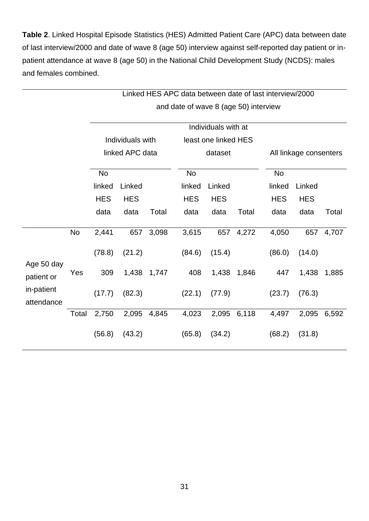**Table 2**. Linked Hospital Episode Statistics (HES) Admitted Patient Care (APC) data between date of last interview/2000 and date of wave 8 (age 50) interview against self-reported day patient or inpatient attendance at wave 8 (age 50) in the National Child Development Study (NCDS): males and females combined.

|                          |           |            |                  |       |                                       |                      |             | Linked HES APC data between date of last interview/2000 |                        |       |
|--------------------------|-----------|------------|------------------|-------|---------------------------------------|----------------------|-------------|---------------------------------------------------------|------------------------|-------|
|                          |           |            |                  |       | and date of wave 8 (age 50) interview |                      |             |                                                         |                        |       |
|                          |           |            |                  |       |                                       | Individuals with at  |             |                                                         |                        |       |
|                          |           |            | Individuals with |       |                                       | least one linked HES |             |                                                         |                        |       |
|                          |           |            | linked APC data  |       |                                       | dataset              |             |                                                         | All linkage consenters |       |
|                          |           | <b>No</b>  |                  |       | <b>No</b>                             |                      |             | <b>No</b>                                               |                        |       |
|                          |           | linked     | Linked           |       | linked                                | Linked               |             | linked                                                  | Linked                 |       |
|                          |           | <b>HES</b> | <b>HES</b>       |       | <b>HES</b>                            | <b>HES</b>           |             | <b>HES</b>                                              | <b>HES</b>             |       |
|                          |           | data       | data             | Total | data                                  | data                 | Total       | data                                                    | data                   | Total |
|                          | <b>No</b> | 2,441      | 657              | 3,098 | 3,615                                 | 657                  | 4,272       | 4,050                                                   | 657                    | 4,707 |
| Age 50 day               |           | (78.8)     | (21.2)           |       | (84.6)                                | (15.4)               |             | (86.0)                                                  | (14.0)                 |       |
| patient or               | Yes       | 309        | 1,438            | 1,747 | 408                                   | 1,438                | 1,846       | 447                                                     | 1,438                  | 1,885 |
| in-patient<br>attendance |           | (17.7)     | (82.3)           |       | (22.1)                                | (77.9)               |             | (23.7)                                                  | (76.3)                 |       |
|                          | Total     | 2,750      | 2,095            | 4,845 | 4,023                                 |                      | 2,095 6,118 | 4,497                                                   | 2,095                  | 6,592 |
|                          |           | (56.8)     | (43.2)           |       | (65.8)                                | (34.2)               |             | (68.2)                                                  | (31.8)                 |       |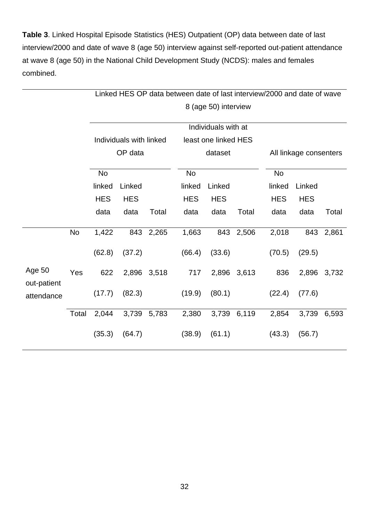**Table 3**. Linked Hospital Episode Statistics (HES) Outpatient (OP) data between date of last interview/2000 and date of wave 8 (age 50) interview against self-reported out-patient attendance at wave 8 (age 50) in the National Child Development Study (NCDS): males and females combined.

|                       |           |            |                         |             | Linked HES OP data between date of last interview/2000 and date of wave |                      |             |                        |            |       |  |
|-----------------------|-----------|------------|-------------------------|-------------|-------------------------------------------------------------------------|----------------------|-------------|------------------------|------------|-------|--|
|                       |           |            |                         |             |                                                                         | 8 (age 50) interview |             |                        |            |       |  |
|                       |           |            |                         |             |                                                                         | Individuals with at  |             |                        |            |       |  |
|                       |           |            | Individuals with linked |             |                                                                         | least one linked HES |             |                        |            |       |  |
|                       |           |            | OP data                 |             |                                                                         | dataset              |             | All linkage consenters |            |       |  |
|                       |           | <b>No</b>  |                         |             | <b>No</b>                                                               |                      |             | <b>No</b>              |            |       |  |
|                       |           | linked     | Linked                  |             | linked                                                                  | Linked               |             | linked                 | Linked     |       |  |
|                       |           | <b>HES</b> | <b>HES</b>              |             | <b>HES</b>                                                              | <b>HES</b>           |             | <b>HES</b>             | <b>HES</b> |       |  |
|                       |           | data       | data                    | Total       | data                                                                    | data                 | Total       | data                   | data       | Total |  |
|                       | <b>No</b> | 1,422      | 843                     | 2,265       | 1,663                                                                   | 843                  | 2,506       | 2,018                  | 843        | 2,861 |  |
|                       |           | (62.8)     | (37.2)                  |             | (66.4)                                                                  | (33.6)               |             | (70.5)                 | (29.5)     |       |  |
| Age 50<br>out-patient | Yes       | 622        |                         | 2,896 3,518 | 717                                                                     |                      | 2,896 3,613 | 836                    | 2,896      | 3,732 |  |
| attendance            |           | (17.7)     | (82.3)                  |             | (19.9)                                                                  | (80.1)               |             | (22.4)                 | (77.6)     |       |  |
|                       | Total     | 2,044      |                         | 3,739 5,783 | 2,380                                                                   |                      | 3,739 6,119 | 2,854                  | 3,739      | 6,593 |  |
|                       |           | (35.3)     | (64.7)                  |             | (38.9)                                                                  | (61.1)               |             | (43.3)                 | (56.7)     |       |  |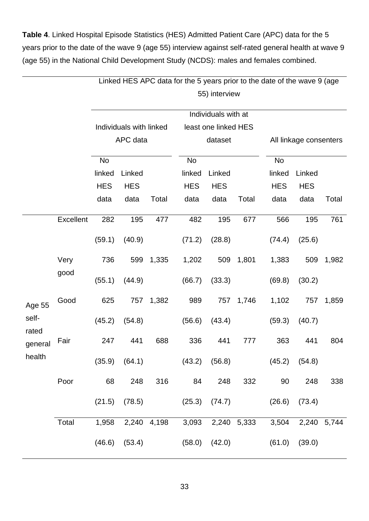**Table 4**. Linked Hospital Episode Statistics (HES) Admitted Patient Care (APC) data for the 5 years prior to the date of the wave 9 (age 55) interview against self-rated general health at wave 9 (age 55) in the National Child Development Study (NCDS): males and females combined.

|                |           |            |                         |       | Linked HES APC data for the 5 years prior to the date of the wave 9 (age |                      |       |            |                        |       |
|----------------|-----------|------------|-------------------------|-------|--------------------------------------------------------------------------|----------------------|-------|------------|------------------------|-------|
|                |           |            |                         |       |                                                                          | 55) interview        |       |            |                        |       |
|                |           |            |                         |       |                                                                          | Individuals with at  |       |            |                        |       |
|                |           |            | Individuals with linked |       |                                                                          | least one linked HES |       |            |                        |       |
|                |           |            | APC data                |       |                                                                          | dataset              |       |            | All linkage consenters |       |
|                |           | No         |                         |       | No                                                                       |                      |       | <b>No</b>  |                        |       |
|                |           | linked     | Linked                  |       | linked                                                                   | Linked               |       | linked     | Linked                 |       |
|                |           | <b>HES</b> | <b>HES</b>              |       | <b>HES</b>                                                               | <b>HES</b>           |       | <b>HES</b> | <b>HES</b>             |       |
|                |           | data       | data                    | Total | data                                                                     | data                 | Total | data       | data                   | Total |
|                | Excellent | 282        | 195                     | 477   | 482                                                                      | 195                  | 677   | 566        | 195                    | 761   |
|                |           | (59.1)     | (40.9)                  |       | (71.2)                                                                   | (28.8)               |       | (74.4)     | (25.6)                 |       |
|                | Very      | 736        | 599                     | 1,335 | 1,202                                                                    | 509                  | 1,801 | 1,383      | 509                    | 1,982 |
|                | good      | (55.1)     | (44.9)                  |       | (66.7)                                                                   | (33.3)               |       | (69.8)     | (30.2)                 |       |
| Age 55         | Good      | 625        | 757                     | 1,382 | 989                                                                      | 757                  | 1,746 | 1,102      | 757                    | 1,859 |
| self-<br>rated |           | (45.2)     | (54.8)                  |       | (56.6)                                                                   | (43.4)               |       | (59.3)     | (40.7)                 |       |
| general        | Fair      | 247        | 441                     | 688   | 336                                                                      | 441                  | 777   | 363        | 441                    | 804   |
| health         | Poor      |            | $(35.9)$ $(64.1)$       |       | $(43.2)$ $(56.8)$                                                        |                      |       |            | $(45.2)$ $(54.8)$      |       |
|                |           | 68         | 248                     | 316   | 84                                                                       | 248                  | 332   | 90         | 248                    | 338   |
|                |           | (21.5)     | (78.5)                  |       | $(25.3)$ $(74.7)$                                                        |                      |       | (26.6)     | (73.4)                 |       |
|                | Total     |            | 1,958 2,240 4,198       |       |                                                                          | 3,093 2,240 5,333    |       | 3,504      | 2,240 5,744            |       |
|                |           |            | $(46.6)$ $(53.4)$       |       |                                                                          | $(58.0)$ $(42.0)$    |       |            | $(61.0)$ $(39.0)$      |       |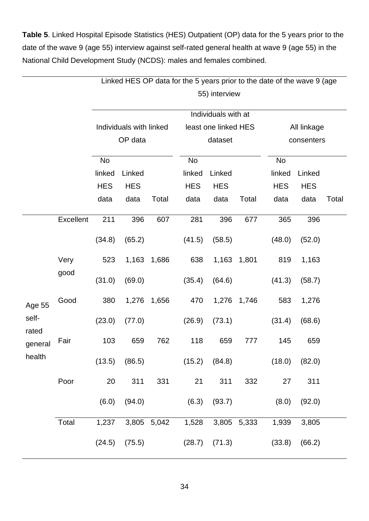**Table 5**. Linked Hospital Episode Statistics (HES) Outpatient (OP) data for the 5 years prior to the date of the wave 9 (age 55) interview against self-rated general health at wave 9 (age 55) in the National Child Development Study (NCDS): males and females combined.

|                |           |            |                         |             | Linked HES OP data for the 5 years prior to the date of the wave 9 (age |                      |             |            |             |       |
|----------------|-----------|------------|-------------------------|-------------|-------------------------------------------------------------------------|----------------------|-------------|------------|-------------|-------|
|                |           |            |                         |             |                                                                         | 55) interview        |             |            |             |       |
|                |           |            |                         |             |                                                                         | Individuals with at  |             |            |             |       |
|                |           |            | Individuals with linked |             |                                                                         | least one linked HES |             |            | All linkage |       |
|                |           |            | OP data                 |             |                                                                         | dataset              |             |            | consenters  |       |
|                |           | No         |                         |             | No                                                                      |                      |             | <b>No</b>  |             |       |
|                |           | linked     | Linked                  |             | linked                                                                  | Linked               |             | linked     | Linked      |       |
|                |           | <b>HES</b> | <b>HES</b>              |             | <b>HES</b>                                                              | <b>HES</b>           |             | <b>HES</b> | <b>HES</b>  |       |
|                |           | data       | data                    | Total       | data                                                                    | data                 | Total       | data       | data        | Total |
|                | Excellent | 211        | 396                     | 607         | 281                                                                     | 396                  | 677         | 365        | 396         |       |
|                |           | (34.8)     | (65.2)                  |             | (41.5)                                                                  | (58.5)               |             | (48.0)     | (52.0)      |       |
|                | Very      | 523        | 1,163                   | 1,686       | 638                                                                     | 1,163                | 1,801       | 819        | 1,163       |       |
|                | good      | (31.0)     | (69.0)                  |             | (35.4)                                                                  | (64.6)               |             | (41.3)     | (58.7)      |       |
| Age 55         | Good      | 380        | 1,276                   | 1,656       | 470                                                                     | 1,276                | 1,746       | 583        | 1,276       |       |
| self-<br>rated |           | (23.0)     | (77.0)                  |             | (26.9)                                                                  | (73.1)               |             | (31.4)     | (68.6)      |       |
| general        | Fair      | 103        | 659                     | 762         | 118                                                                     | 659                  | 777         | 145        | 659         |       |
| health         |           | (13.5)     | (86.5)                  |             |                                                                         | $(15.2)$ $(84.8)$    |             | (18.0)     | (82.0)      |       |
|                | Poor      | 20         | 311                     | 331         | 21                                                                      | 311                  | 332         | 27         | 311         |       |
|                |           | (6.0)      | (94.0)                  |             | (6.3)                                                                   | (93.7)               |             | (8.0)      | (92.0)      |       |
|                | Total     | 1,237      |                         | 3,805 5,042 | 1,528                                                                   |                      | 3,805 5,333 | 1,939      | 3,805       |       |
|                |           | (24.5)     | (75.5)                  |             |                                                                         | $(28.7)$ $(71.3)$    |             | (33.8)     | (66.2)      |       |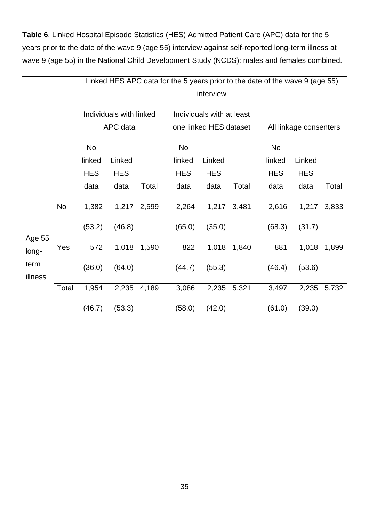**Table 6**. Linked Hospital Episode Statistics (HES) Admitted Patient Care (APC) data for the 5 years prior to the date of the wave 9 (age 55) interview against self-reported long-term illness at wave 9 (age 55) in the National Child Development Study (NCDS): males and females combined.

|                 |       |            |                         |             | Linked HES APC data for the 5 years prior to the date of the wave 9 (age 55) |                           |       |            |                        |       |  |  |
|-----------------|-------|------------|-------------------------|-------------|------------------------------------------------------------------------------|---------------------------|-------|------------|------------------------|-------|--|--|
|                 |       |            |                         |             |                                                                              | interview                 |       |            |                        |       |  |  |
|                 |       |            | Individuals with linked |             |                                                                              | Individuals with at least |       |            |                        |       |  |  |
|                 |       |            | APC data                |             |                                                                              | one linked HES dataset    |       |            | All linkage consenters |       |  |  |
|                 |       | No         |                         |             | No                                                                           |                           |       | No         |                        |       |  |  |
|                 |       | linked     | Linked                  |             | linked                                                                       | Linked                    |       | linked     | Linked                 |       |  |  |
|                 |       | <b>HES</b> | <b>HES</b>              |             | <b>HES</b>                                                                   | <b>HES</b>                |       | <b>HES</b> | <b>HES</b>             |       |  |  |
|                 |       | data       | data                    | Total       | data                                                                         | data                      | Total | data       | data                   | Total |  |  |
|                 | No    | 1,382      |                         | 1,217 2,599 | 2,264                                                                        | 1,217                     | 3,481 | 2,616      | 1,217                  | 3,833 |  |  |
| Age 55          |       | (53.2)     | (46.8)                  | 1,590       | (65.0)                                                                       | (35.0)                    |       | (68.3)     | (31.7)                 |       |  |  |
| long-           | Yes   | 572        | 1,018                   |             | 822                                                                          | 1,018                     | 1,840 | 881        | 1,018                  | 1,899 |  |  |
| term<br>illness |       | (36.0)     | (64.0)                  |             | (44.7)                                                                       | (55.3)                    |       | (46.4)     | (53.6)                 |       |  |  |
|                 | Total | 1,954      | 2,235                   | 4,189       | 3,086                                                                        | 2,235                     | 5,321 | 3,497      | 2,235                  | 5,732 |  |  |
|                 |       | (46.7)     | (53.3)                  |             | (58.0)                                                                       | (42.0)                    |       | (61.0)     | (39.0)                 |       |  |  |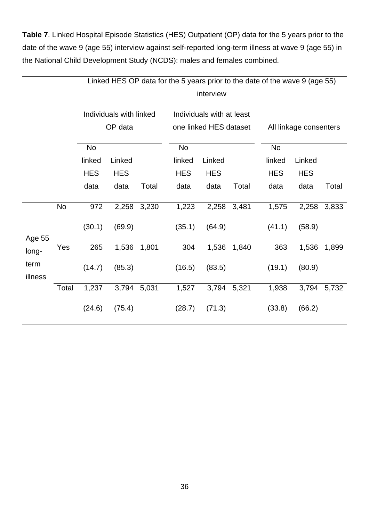**Table 7**. Linked Hospital Episode Statistics (HES) Outpatient (OP) data for the 5 years prior to the date of the wave 9 (age 55) interview against self-reported long-term illness at wave 9 (age 55) in the National Child Development Study (NCDS): males and females combined.

|                 |       |            |                         |       | Linked HES OP data for the 5 years prior to the date of the wave 9 (age 55) |                           |       |            |                        |       |  |  |
|-----------------|-------|------------|-------------------------|-------|-----------------------------------------------------------------------------|---------------------------|-------|------------|------------------------|-------|--|--|
|                 |       |            |                         |       |                                                                             | interview                 |       |            |                        |       |  |  |
|                 |       |            | Individuals with linked |       |                                                                             | Individuals with at least |       |            |                        |       |  |  |
|                 |       |            | OP data                 |       |                                                                             | one linked HES dataset    |       |            | All linkage consenters |       |  |  |
|                 |       | No         |                         |       | No                                                                          |                           |       | <b>No</b>  |                        |       |  |  |
|                 |       | linked     | Linked                  |       | linked                                                                      | Linked                    |       | linked     | Linked                 |       |  |  |
|                 |       | <b>HES</b> | <b>HES</b>              |       | <b>HES</b>                                                                  | <b>HES</b>                |       | <b>HES</b> | <b>HES</b>             |       |  |  |
|                 |       | data       | data                    | Total | data                                                                        | data                      | Total | data       | data                   | Total |  |  |
|                 | No    | 972        | 2,258                   | 3,230 | 1,223                                                                       | 2,258                     | 3,481 | 1,575      | 2,258                  | 3,833 |  |  |
|                 |       | (30.1)     | (69.9)                  |       | (35.1)                                                                      | (64.9)                    |       | (41.1)     | (58.9)                 |       |  |  |
| Age 55<br>long- | Yes   | 265        | 1,536                   | 1,801 | 304                                                                         | 1,536                     | 1,840 | 363        | 1,536                  | 1,899 |  |  |
| term<br>illness |       | (14.7)     | (85.3)                  |       | (16.5)                                                                      | (83.5)                    |       | (19.1)     | (80.9)                 |       |  |  |
|                 | Total | 1,237      | 3,794                   | 5,031 | 1,527                                                                       | 3,794                     | 5,321 | 1,938      | 3,794                  | 5,732 |  |  |
|                 |       | (24.6)     | (75.4)                  |       | (28.7)                                                                      | (71.3)                    |       | (33.8)     | (66.2)                 |       |  |  |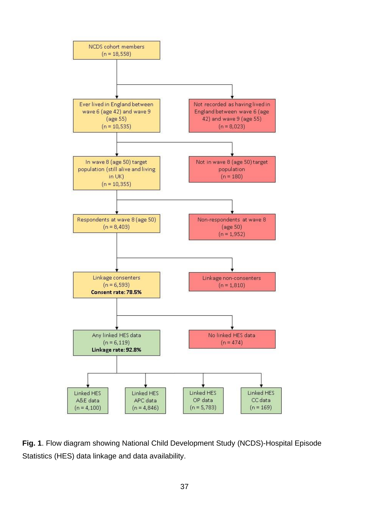

**Fig. 1**. Flow diagram showing National Child Development Study (NCDS)-Hospital Episode Statistics (HES) data linkage and data availability.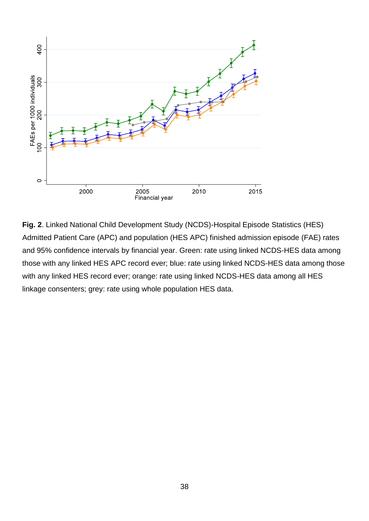

**Fig. 2**. Linked National Child Development Study (NCDS)-Hospital Episode Statistics (HES) Admitted Patient Care (APC) and population (HES APC) finished admission episode (FAE) rates and 95% confidence intervals by financial year. Green: rate using linked NCDS-HES data among those with any linked HES APC record ever; blue: rate using linked NCDS-HES data among those with any linked HES record ever; orange: rate using linked NCDS-HES data among all HES linkage consenters; grey: rate using whole population HES data.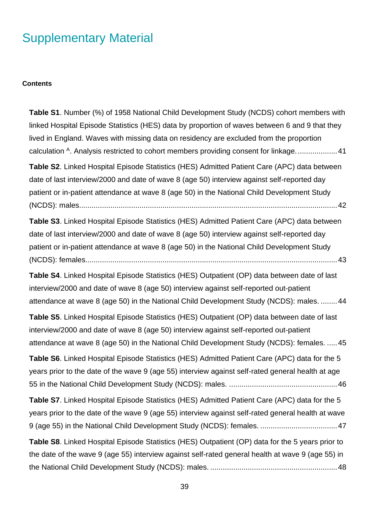## Supplementary Material

#### **Contents**

**Table S1**[. Number \(%\) of 1958 National Child Development Study \(NCDS\) cohort members with](#page-41-0)  [linked Hospital Episode Statistics \(HES\) data by proportion of waves between 6 and 9 that they](#page-41-0)  [lived in England. Waves with missing data on residency are excluded from the proportion](#page-41-0)  calculation <sup>A</sup>. Analysis restricted to cohort members providing consent for linkage.........................41

**Table S2**[. Linked Hospital Episode Statistics \(HES\) Admitted Patient Care \(APC\) data between](#page-42-0)  [date of last interview/2000 and date of wave 8 \(age 50\) interview against self-reported day](#page-42-0)  [patient or in-patient attendance at wave 8 \(age 50\) in the National Child Development Study](#page-42-0)  [\(NCDS\): males............................................................................................................................42](#page-42-0)

**Table S3**[. Linked Hospital Episode Statistics \(HES\) Admitted Patient Care \(APC\) data between](#page-43-0)  [date of last interview/2000 and date of wave 8 \(age 50\) interview against self-reported day](#page-43-0)  [patient or in-patient attendance at wave 8 \(age 50\) in the National Child Development Study](#page-43-0)  [\(NCDS\): females.........................................................................................................................43](#page-43-0)

**Table S4**[. Linked Hospital Episode Statistics \(HES\) Outpatient \(OP\) data between date of last](#page-44-0)  [interview/2000 and date of wave 8 \(age 50\) interview against self-reported out-patient](#page-44-0)  [attendance at wave 8 \(age 50\) in the National Child Development Study \(NCDS\): males.](#page-44-0) ........44

**Table S5**[. Linked Hospital Episode Statistics \(HES\) Outpatient \(OP\) data between date of last](#page-45-0)  [interview/2000 and date of wave 8 \(age 50\) interview against self-reported out-patient](#page-45-0)  [attendance at wave 8 \(age 50\) in the National Child Development Study \(NCDS\): females.](#page-45-0) .....45

**Table S6**[. Linked Hospital Episode Statistics \(HES\) Admitted Patient Care \(APC\) data for the 5](#page-46-0)  [years prior to the date of the wave 9 \(age 55\) interview against self-rated general health at age](#page-46-0)  [55 in the National Child Development Study \(NCDS\): males.](#page-46-0) ....................................................46

**Table S7**[. Linked Hospital Episode Statistics \(HES\) Admitted Patient Care \(APC\) data for the 5](#page-47-0)  [years prior to the date of the wave 9 \(age 55\) interview against self-rated general health at wave](#page-47-0)  [9 \(age 55\) in the National Child Development Study \(NCDS\): females.](#page-47-0) .....................................47

**Table S8**[. Linked Hospital Episode Statistics \(HES\) Outpatient \(OP\) data for the 5 years prior to](#page-48-0)  [the date of the wave 9 \(age 55\) interview against self-rated general health at wave 9 \(age 55\) in](#page-48-0)  [the National Child Development Study \(NCDS\): males.](#page-48-0) .............................................................48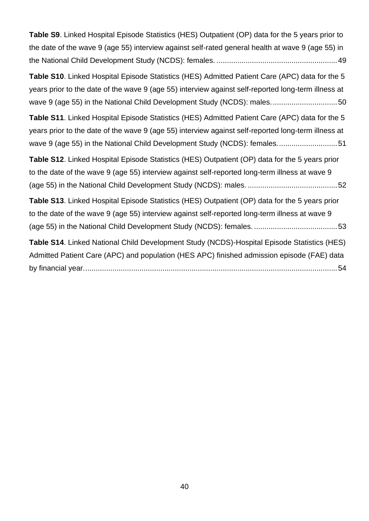| Table S9. Linked Hospital Episode Statistics (HES) Outpatient (OP) data for the 5 years prior to    |
|-----------------------------------------------------------------------------------------------------|
| the date of the wave 9 (age 55) interview against self-rated general health at wave 9 (age 55) in   |
|                                                                                                     |
| Table S10. Linked Hospital Episode Statistics (HES) Admitted Patient Care (APC) data for the 5      |
| years prior to the date of the wave 9 (age 55) interview against self-reported long-term illness at |
| wave 9 (age 55) in the National Child Development Study (NCDS): males50                             |
| Table S11. Linked Hospital Episode Statistics (HES) Admitted Patient Care (APC) data for the 5      |
| years prior to the date of the wave 9 (age 55) interview against self-reported long-term illness at |
| wave 9 (age 55) in the National Child Development Study (NCDS): females51                           |
| Table S12. Linked Hospital Episode Statistics (HES) Outpatient (OP) data for the 5 years prior      |
| to the date of the wave 9 (age 55) interview against self-reported long-term illness at wave 9      |
|                                                                                                     |
| Table S13. Linked Hospital Episode Statistics (HES) Outpatient (OP) data for the 5 years prior      |
| to the date of the wave 9 (age 55) interview against self-reported long-term illness at wave 9      |
|                                                                                                     |
| Table S14. Linked National Child Development Study (NCDS)-Hospital Episode Statistics (HES)         |
| Admitted Patient Care (APC) and population (HES APC) finished admission episode (FAE) data          |
|                                                                                                     |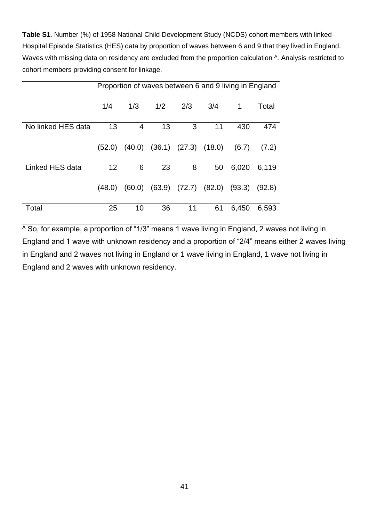<span id="page-41-0"></span>**Table S1**. Number (%) of 1958 National Child Development Study (NCDS) cohort members with linked Hospital Episode Statistics (HES) data by proportion of waves between 6 and 9 that they lived in England. Waves with missing data on residency are excluded from the proportion calculation <sup>A</sup>. Analysis restricted to cohort members providing consent for linkage.

|                    |        | Proportion of waves between 6 and 9 living in England |        |                   |                   |        |        |  |  |  |  |  |
|--------------------|--------|-------------------------------------------------------|--------|-------------------|-------------------|--------|--------|--|--|--|--|--|
|                    | 1/4    | 1/3                                                   | 1/2    | 2/3               | 3/4               | 1      | Total  |  |  |  |  |  |
| No linked HES data | 13     | 4                                                     | 13     | 3                 | 11                | 430    | 474    |  |  |  |  |  |
|                    | (52.0) | (40.0)                                                | (36.1) | $(27.3)$ $(18.0)$ |                   | (6.7)  | (7.2)  |  |  |  |  |  |
| Linked HES data    | 12     | 6                                                     | 23     | 8                 | 50                | 6,020  | 6,119  |  |  |  |  |  |
|                    | (48.0) | (60.0)                                                | (63.9) |                   | $(72.7)$ $(82.0)$ | (93.3) | (92.8) |  |  |  |  |  |
| Total              | 25     | 10                                                    | 36     | 11                | 61                | 6,450  | 6,593  |  |  |  |  |  |

 $\overline{A}$  So, for example, a proportion of "1/3" means 1 wave living in England, 2 waves not living in England and 1 wave with unknown residency and a proportion of "2/4" means either 2 waves living in England and 2 waves not living in England or 1 wave living in England, 1 wave not living in England and 2 waves with unknown residency.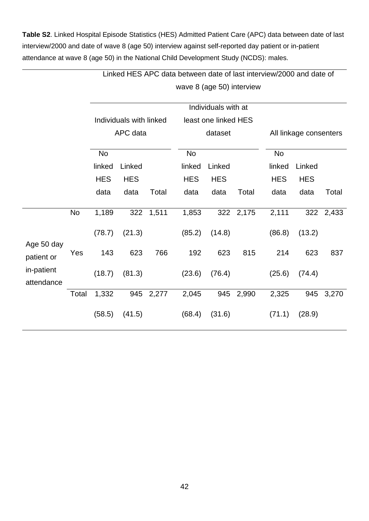<span id="page-42-0"></span>**Table S2**. Linked Hospital Episode Statistics (HES) Admitted Patient Care (APC) data between date of last interview/2000 and date of wave 8 (age 50) interview against self-reported day patient or in-patient attendance at wave 8 (age 50) in the National Child Development Study (NCDS): males.

|                          |           |            |                         |       |                           |                      |           | Linked HES APC data between date of last interview/2000 and date of |                        |           |  |  |
|--------------------------|-----------|------------|-------------------------|-------|---------------------------|----------------------|-----------|---------------------------------------------------------------------|------------------------|-----------|--|--|
|                          |           |            |                         |       | wave 8 (age 50) interview |                      |           |                                                                     |                        |           |  |  |
|                          |           |            |                         |       |                           | Individuals with at  |           |                                                                     |                        |           |  |  |
|                          |           |            | Individuals with linked |       |                           | least one linked HES |           |                                                                     |                        |           |  |  |
|                          |           |            | APC data                |       |                           | dataset              |           |                                                                     | All linkage consenters |           |  |  |
|                          |           | <b>No</b>  |                         |       | <b>No</b>                 |                      |           | <b>No</b>                                                           |                        |           |  |  |
|                          |           | linked     | Linked                  |       | linked                    | Linked               |           | linked                                                              | Linked                 |           |  |  |
|                          |           | <b>HES</b> | <b>HES</b>              |       | <b>HES</b>                | <b>HES</b>           |           | <b>HES</b>                                                          | <b>HES</b>             |           |  |  |
|                          |           | data       | data                    | Total | data                      | data                 | Total     | data                                                                | data                   | Total     |  |  |
|                          | <b>No</b> | 1,189      | 322                     | 1,511 | 1,853                     |                      | 322 2,175 | 2,111                                                               |                        | 322 2,433 |  |  |
| Age 50 day               |           | (78.7)     | (21.3)                  |       | (85.2)                    | (14.8)               |           | (86.8)                                                              | (13.2)                 |           |  |  |
| patient or               | Yes       | 143        | 623                     | 766   | 192                       | 623                  | 815       | 214                                                                 | 623                    | 837       |  |  |
| in-patient<br>attendance |           | (18.7)     | (81.3)                  |       | (23.6)                    | (76.4)               |           | (25.6)                                                              | (74.4)                 |           |  |  |
|                          | Total     | 1,332      | 945                     | 2,277 | 2,045                     | 945                  | 2,990     | 2,325                                                               | 945                    | 3,270     |  |  |
|                          |           | (58.5)     | (41.5)                  |       | (68.4)                    | (31.6)               |           | (71.1)                                                              | (28.9)                 |           |  |  |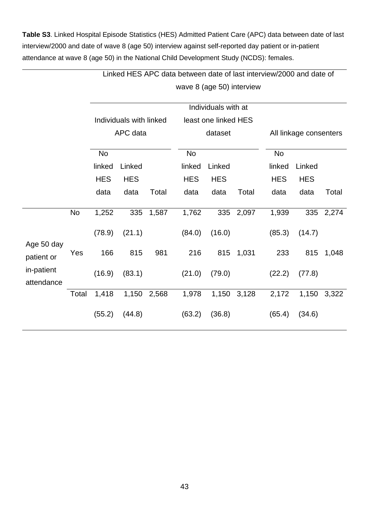<span id="page-43-0"></span>**Table S3**. Linked Hospital Episode Statistics (HES) Admitted Patient Care (APC) data between date of last interview/2000 and date of wave 8 (age 50) interview against self-reported day patient or in-patient attendance at wave 8 (age 50) in the National Child Development Study (NCDS): females.

|                          |       | Linked HES APC data between date of last interview/2000 and date of |                           |           |            |                      |       |            |                        |       |  |  |  |
|--------------------------|-------|---------------------------------------------------------------------|---------------------------|-----------|------------|----------------------|-------|------------|------------------------|-------|--|--|--|
|                          |       |                                                                     | wave 8 (age 50) interview |           |            |                      |       |            |                        |       |  |  |  |
|                          |       |                                                                     |                           |           |            | Individuals with at  |       |            |                        |       |  |  |  |
|                          |       |                                                                     | Individuals with linked   |           |            | least one linked HES |       |            |                        |       |  |  |  |
|                          |       |                                                                     | APC data                  |           |            | dataset              |       |            | All linkage consenters |       |  |  |  |
|                          |       | No                                                                  |                           | <b>No</b> |            |                      |       |            |                        |       |  |  |  |
|                          |       | linked                                                              | Linked                    |           | linked     | Linked               |       | linked     | Linked                 |       |  |  |  |
|                          |       | <b>HES</b>                                                          | <b>HES</b>                |           | <b>HES</b> | <b>HES</b>           |       | <b>HES</b> | <b>HES</b>             |       |  |  |  |
|                          |       | data                                                                | data                      | Total     | data       | data                 | Total | data       | data                   | Total |  |  |  |
|                          | No    | 1,252                                                               | 335                       | 1,587     | 1,762      | 335                  | 2,097 | 1,939      | 335                    | 2,274 |  |  |  |
| Age 50 day               |       | (78.9)                                                              | (21.1)                    |           | (84.0)     | (16.0)               |       | (85.3)     | (14.7)                 |       |  |  |  |
| patient or               | Yes   | 166                                                                 | 815                       | 981       | 216        | 815                  | 1,031 | 233        | 815                    | 1,048 |  |  |  |
| in-patient<br>attendance |       | (16.9)                                                              | (83.1)                    |           | (21.0)     | (79.0)               |       | (22.2)     | (77.8)                 |       |  |  |  |
|                          | Total | 1,418                                                               | 1,150                     | 2,568     | 1,978      | 1,150                | 3,128 | 2,172      | 1,150                  | 3,322 |  |  |  |
|                          |       | (55.2)                                                              | (44.8)                    |           | (63.2)     | (36.8)               |       | (65.4)     | (34.6)                 |       |  |  |  |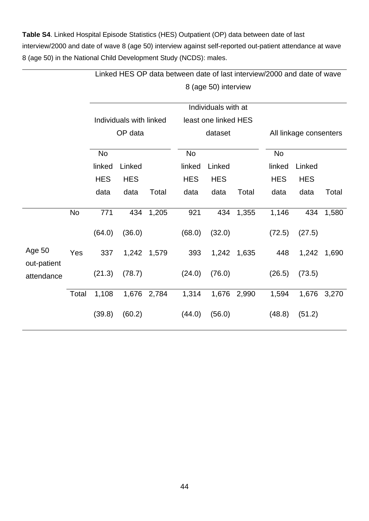<span id="page-44-0"></span>**Table S4**. Linked Hospital Episode Statistics (HES) Outpatient (OP) data between date of last interview/2000 and date of wave 8 (age 50) interview against self-reported out-patient attendance at wave 8 (age 50) in the National Child Development Study (NCDS): males.

|                       |           |            | Linked HES OP data between date of last interview/2000 and date of wave |       |                      |                     |       |            |                        |       |  |  |  |  |
|-----------------------|-----------|------------|-------------------------------------------------------------------------|-------|----------------------|---------------------|-------|------------|------------------------|-------|--|--|--|--|
|                       |           |            | 8 (age 50) interview                                                    |       |                      |                     |       |            |                        |       |  |  |  |  |
|                       |           |            |                                                                         |       |                      | Individuals with at |       |            |                        |       |  |  |  |  |
|                       |           |            | Individuals with linked                                                 |       | least one linked HES |                     |       |            |                        |       |  |  |  |  |
|                       |           |            | OP data                                                                 |       |                      | dataset             |       |            | All linkage consenters |       |  |  |  |  |
|                       |           | <b>No</b>  |                                                                         |       | No                   |                     |       | <b>No</b>  |                        |       |  |  |  |  |
|                       |           | linked     | Linked                                                                  |       | linked               | Linked              |       | linked     | Linked                 |       |  |  |  |  |
|                       |           | <b>HES</b> | <b>HES</b>                                                              |       | <b>HES</b>           | <b>HES</b>          |       | <b>HES</b> | <b>HES</b>             |       |  |  |  |  |
|                       |           | data       | data                                                                    | Total | data                 | data                | Total | data       | data                   | Total |  |  |  |  |
|                       | <b>No</b> | 771        | 434                                                                     | 1,205 | 921                  | 434                 | 1,355 | 1,146      | 434                    | 1,580 |  |  |  |  |
|                       |           | (64.0)     | (36.0)                                                                  |       | (68.0)               | (32.0)              |       | (72.5)     | (27.5)                 |       |  |  |  |  |
| Age 50<br>out-patient | Yes       | 337        | 1,242                                                                   | 1,579 | 393                  | 1,242               | 1,635 | 448        | 1,242                  | 1,690 |  |  |  |  |
| attendance            |           | (21.3)     | (78.7)                                                                  |       | (24.0)               | (76.0)              |       | (26.5)     | (73.5)                 |       |  |  |  |  |
|                       | Total     | 1,108      | 1,676                                                                   | 2,784 | 1,314                | 1,676               | 2,990 | 1,594      | 1,676                  | 3,270 |  |  |  |  |
|                       |           | (39.8)     | (60.2)                                                                  |       | (44.0)               | (56.0)              |       | (48.8)     | (51.2)                 |       |  |  |  |  |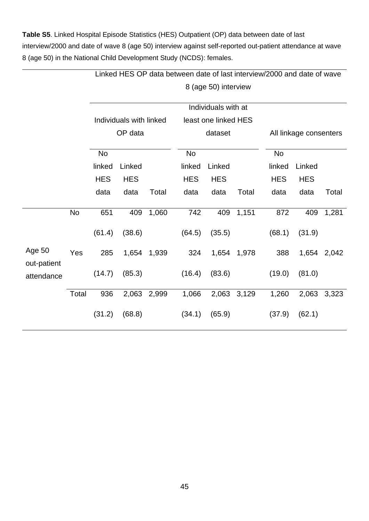<span id="page-45-0"></span>**Table S5**. Linked Hospital Episode Statistics (HES) Outpatient (OP) data between date of last interview/2000 and date of wave 8 (age 50) interview against self-reported out-patient attendance at wave 8 (age 50) in the National Child Development Study (NCDS): females.

|                       |           | Linked HES OP data between date of last interview/2000 and date of wave |                         |       |                     |                      |       |                        |            |       |  |  |  |  |
|-----------------------|-----------|-------------------------------------------------------------------------|-------------------------|-------|---------------------|----------------------|-------|------------------------|------------|-------|--|--|--|--|
|                       |           |                                                                         | 8 (age 50) interview    |       |                     |                      |       |                        |            |       |  |  |  |  |
|                       |           |                                                                         |                         |       | Individuals with at |                      |       |                        |            |       |  |  |  |  |
|                       |           |                                                                         | Individuals with linked |       |                     | least one linked HES |       |                        |            |       |  |  |  |  |
|                       |           |                                                                         | OP data                 |       |                     | dataset              |       | All linkage consenters |            |       |  |  |  |  |
|                       |           | No                                                                      |                         |       | No                  |                      |       | <b>No</b>              |            |       |  |  |  |  |
|                       |           | linked                                                                  | Linked                  |       | linked              | Linked               |       | linked                 | Linked     |       |  |  |  |  |
|                       |           | <b>HES</b>                                                              | <b>HES</b>              |       | <b>HES</b>          | <b>HES</b>           |       | <b>HES</b>             | <b>HES</b> |       |  |  |  |  |
|                       |           | data                                                                    | data                    | Total | data                | data                 | Total | data                   | data       | Total |  |  |  |  |
|                       |           |                                                                         |                         |       |                     |                      |       |                        |            |       |  |  |  |  |
|                       | <b>No</b> | 651                                                                     | 409                     | 1,060 | 742                 | 409                  | 1,151 | 872                    | 409        | 1,281 |  |  |  |  |
|                       |           | (61.4)                                                                  | (38.6)                  |       | (64.5)              | (35.5)               |       | (68.1)                 | (31.9)     |       |  |  |  |  |
| Age 50<br>out-patient | Yes       | 285                                                                     | 1,654                   | 1,939 | 324                 | 1,654                | 1,978 | 388                    | 1,654      | 2,042 |  |  |  |  |
| attendance            |           | (14.7)                                                                  | (85.3)                  |       | (16.4)              | (83.6)               |       | (19.0)                 | (81.0)     |       |  |  |  |  |
|                       | Total     | 936                                                                     | 2,063                   | 2,999 | 1,066               | 2,063                | 3,129 | 1,260                  | 2,063      | 3,323 |  |  |  |  |
|                       |           | (31.2)                                                                  | (68.8)                  |       | (34.1)              | (65.9)               |       | (37.9)                 | (62.1)     |       |  |  |  |  |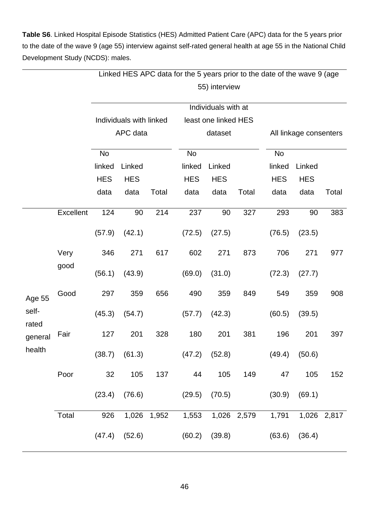<span id="page-46-0"></span>**Table S6**. Linked Hospital Episode Statistics (HES) Admitted Patient Care (APC) data for the 5 years prior to the date of the wave 9 (age 55) interview against self-rated general health at age 55 in the National Child Development Study (NCDS): males.

|                |           | Linked HES APC data for the 5 years prior to the date of the wave 9 (age |                         |             |            |                      |             |                        |            |             |  |  |
|----------------|-----------|--------------------------------------------------------------------------|-------------------------|-------------|------------|----------------------|-------------|------------------------|------------|-------------|--|--|
|                |           |                                                                          |                         |             |            | 55) interview        |             |                        |            |             |  |  |
|                |           |                                                                          |                         |             |            | Individuals with at  |             |                        |            |             |  |  |
|                |           |                                                                          | Individuals with linked |             |            | least one linked HES |             |                        |            |             |  |  |
|                |           |                                                                          | APC data                |             | dataset    |                      |             | All linkage consenters |            |             |  |  |
|                |           | No                                                                       |                         |             | No         |                      |             | <b>No</b>              |            |             |  |  |
|                |           | linked                                                                   | Linked                  |             | linked     | Linked               |             | linked                 | Linked     |             |  |  |
|                |           | <b>HES</b>                                                               | <b>HES</b>              |             | <b>HES</b> | <b>HES</b>           |             | <b>HES</b>             | <b>HES</b> |             |  |  |
|                |           | data                                                                     | data                    | Total       | data       | data                 | Total       | data                   | data       | Total       |  |  |
|                | Excellent | 124                                                                      | 90                      | 214         | 237        | 90                   | 327         | 293                    | 90         | 383         |  |  |
|                |           | (57.9)                                                                   | (42.1)                  |             | (72.5)     | (27.5)               |             | (76.5)                 | (23.5)     |             |  |  |
|                | Very      | 346                                                                      | 271                     | 617         | 602        | 271                  | 873         | 706                    | 271        | 977         |  |  |
|                | good      | (56.1)                                                                   | (43.9)                  |             | (69.0)     | (31.0)               |             | (72.3)                 | (27.7)     |             |  |  |
| Age 55         | Good      | 297                                                                      | 359                     | 656         | 490        | 359                  | 849         | 549                    | 359        | 908         |  |  |
| self-<br>rated |           | (45.3)                                                                   | (54.7)                  |             | (57.7)     | (42.3)               |             | (60.5)                 | (39.5)     |             |  |  |
| general        | Fair      | 127                                                                      | 201                     | 328         | 180        | 201                  | 381         | 196                    | 201        | 397         |  |  |
| health         |           | (38.7)                                                                   | (61.3)                  |             |            | $(47.2)$ $(52.8)$    |             | (49.4)                 | (50.6)     |             |  |  |
|                | Poor      | 32                                                                       | 105                     | 137         | 44         | 105                  | 149         | 47                     | 105        | 152         |  |  |
|                |           | (23.4)                                                                   | (76.6)                  |             | (29.5)     | (70.5)               |             | (30.9)                 | (69.1)     |             |  |  |
|                | Total     | 926                                                                      |                         | 1,026 1,952 | 1,553      |                      | 1,026 2,579 | 1,791                  |            | 1,026 2,817 |  |  |
|                |           | (47.4)                                                                   | (52.6)                  |             |            | $(60.2)$ $(39.8)$    |             | (63.6)                 | (36.4)     |             |  |  |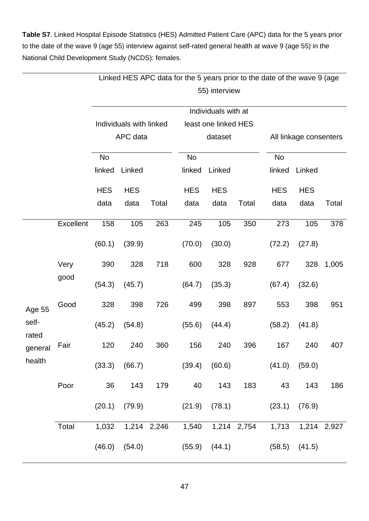<span id="page-47-0"></span>**Table S7**. Linked Hospital Episode Statistics (HES) Admitted Patient Care (APC) data for the 5 years prior to the date of the wave 9 (age 55) interview against self-rated general health at wave 9 (age 55) in the National Child Development Study (NCDS): females.

|                |           | Linked HES APC data for the 5 years prior to the date of the wave 9 (age |                         |       |                                                       |                      |       |            |                        |       |  |  |
|----------------|-----------|--------------------------------------------------------------------------|-------------------------|-------|-------------------------------------------------------|----------------------|-------|------------|------------------------|-------|--|--|
|                |           |                                                                          |                         |       |                                                       | 55) interview        |       |            |                        |       |  |  |
|                |           |                                                                          |                         |       |                                                       | Individuals with at  |       |            |                        |       |  |  |
|                |           |                                                                          | Individuals with linked |       |                                                       | least one linked HES |       |            |                        |       |  |  |
|                |           |                                                                          | APC data                |       |                                                       | dataset              |       |            | All linkage consenters |       |  |  |
|                |           | No                                                                       |                         |       | No                                                    |                      |       | No         |                        |       |  |  |
|                |           | linked                                                                   | Linked                  |       | linked                                                | Linked               |       | linked     | Linked                 |       |  |  |
|                |           | <b>HES</b>                                                               | <b>HES</b>              |       | <b>HES</b>                                            | <b>HES</b>           |       | <b>HES</b> | <b>HES</b>             |       |  |  |
|                |           | data                                                                     | data                    | Total | data                                                  | data                 | Total | data       | data                   | Total |  |  |
|                | Excellent | 158                                                                      | 105                     | 263   | 245                                                   | 105                  | 350   | 273        | 105                    | 378   |  |  |
|                |           | (60.1)                                                                   | (39.9)                  |       | (70.0)                                                | (30.0)               |       | (72.2)     | (27.8)                 |       |  |  |
|                | Very      | 390                                                                      | 328                     | 718   | 600                                                   | 328                  | 928   | 677        | 328                    | 1,005 |  |  |
|                | good      | (54.3)                                                                   | (45.7)                  |       | (64.7)                                                | (35.3)               |       | (67.4)     | (32.6)                 |       |  |  |
| <b>Age 55</b>  | Good      | 328                                                                      | 398                     | 726   | 499                                                   | 398                  | 897   | 553        | 398                    | 951   |  |  |
| self-<br>rated |           | (45.2)                                                                   | (54.8)                  |       | (55.6)                                                | (44.4)               |       | (58.2)     | (41.8)                 |       |  |  |
| general        | Fair      | 120                                                                      | 240                     | 360   | 156                                                   | 240                  | 396   | 167        | 240                    | 407   |  |  |
| health         |           |                                                                          | $(33.3)$ $(66.7)$       |       | $(39.4)$ $(60.6)$                                     |                      |       |            | $(41.0)$ $(59.0)$      |       |  |  |
|                | Poor      | 36                                                                       | 143                     | 179   |                                                       | 40 143               | 183   | 43         | 143                    | 186   |  |  |
|                |           |                                                                          |                         |       | $(20.1)$ $(79.9)$ $(21.9)$ $(78.1)$ $(23.1)$ $(76.9)$ |                      |       |            |                        |       |  |  |
|                | Total     |                                                                          |                         |       | 1,032 1,214 2,246 1,540 1,214 2,754 1,713 1,214 2,927 |                      |       |            |                        |       |  |  |
|                |           |                                                                          | $(46.0)$ $(54.0)$       |       | $(55.9)$ $(44.1)$                                     |                      |       |            | $(58.5)$ $(41.5)$      |       |  |  |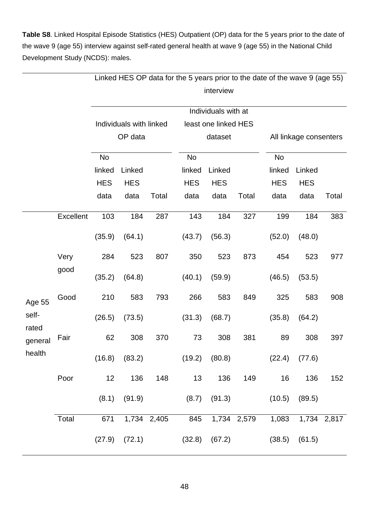<span id="page-48-0"></span>**Table S8**. Linked Hospital Episode Statistics (HES) Outpatient (OP) data for the 5 years prior to the date of the wave 9 (age 55) interview against self-rated general health at wave 9 (age 55) in the National Child Development Study (NCDS): males.

|                |           | Linked HES OP data for the 5 years prior to the date of the wave 9 (age 55) |                         |             |            |                      |             |                        |            |             |  |  |
|----------------|-----------|-----------------------------------------------------------------------------|-------------------------|-------------|------------|----------------------|-------------|------------------------|------------|-------------|--|--|
|                |           |                                                                             |                         |             |            | interview            |             |                        |            |             |  |  |
|                |           |                                                                             |                         |             |            | Individuals with at  |             |                        |            |             |  |  |
|                |           |                                                                             | Individuals with linked |             |            | least one linked HES |             |                        |            |             |  |  |
|                |           |                                                                             | OP data                 |             |            | dataset              |             | All linkage consenters |            |             |  |  |
|                |           | No                                                                          |                         |             | No         |                      |             | No                     |            |             |  |  |
|                |           | linked                                                                      | Linked                  |             | linked     | Linked               |             | linked                 | Linked     |             |  |  |
|                |           | <b>HES</b>                                                                  | <b>HES</b>              |             | <b>HES</b> | <b>HES</b>           |             | <b>HES</b>             | <b>HES</b> |             |  |  |
|                |           | data                                                                        | data                    | Total       | data       | data                 | Total       | data                   | data       | Total       |  |  |
|                | Excellent | 103                                                                         | 184                     | 287         | 143        | 184                  | 327         | 199                    | 184        | 383         |  |  |
|                |           | (35.9)                                                                      | (64.1)                  |             | (43.7)     | (56.3)               |             | (52.0)                 | (48.0)     |             |  |  |
|                | Very      | 284                                                                         | 523                     | 807         | 350        | 523                  | 873         | 454                    | 523        | 977         |  |  |
|                | good      | (35.2)                                                                      | (64.8)                  |             | (40.1)     | (59.9)               |             | (46.5)                 | (53.5)     |             |  |  |
| Age 55         | Good      | 210                                                                         | 583                     | 793         | 266        | 583                  | 849         | 325                    | 583        | 908         |  |  |
| self-<br>rated |           | (26.5)                                                                      | (73.5)                  |             | (31.3)     | (68.7)               |             | (35.8)                 | (64.2)     |             |  |  |
| general        | Fair      | 62                                                                          | 308                     | 370         | 73         | 308                  | 381         | 89                     | 308        | 397         |  |  |
| health         |           |                                                                             | $(16.8)$ $(83.2)$       |             |            | $(19.2)$ $(80.8)$    |             | (22.4)                 | (77.6)     |             |  |  |
|                | Poor      | 12                                                                          | 136                     | 148         | 13         | 136                  | 149         | 16                     | 136        | 152         |  |  |
|                |           | (8.1)                                                                       | (91.9)                  |             | (8.7)      | (91.3)               |             | (10.5)                 | (89.5)     |             |  |  |
|                | Total     | 671                                                                         |                         | 1,734 2,405 | 845        |                      | 1,734 2,579 | 1,083                  |            | 1,734 2,817 |  |  |
|                |           | (27.9)                                                                      | (72.1)                  |             |            | $(32.8)$ $(67.2)$    |             | (38.5)                 | (61.5)     |             |  |  |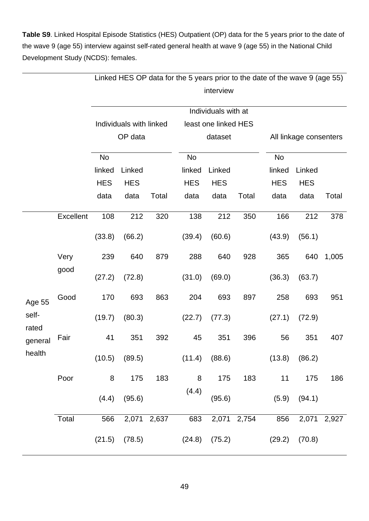<span id="page-49-0"></span>**Table S9**. Linked Hospital Episode Statistics (HES) Outpatient (OP) data for the 5 years prior to the date of the wave 9 (age 55) interview against self-rated general health at wave 9 (age 55) in the National Child Development Study (NCDS): females.

|                |           | Linked HES OP data for the 5 years prior to the date of the wave 9 (age 55) |                         |             |            |                      |             |            |                        |             |  |  |
|----------------|-----------|-----------------------------------------------------------------------------|-------------------------|-------------|------------|----------------------|-------------|------------|------------------------|-------------|--|--|
|                |           |                                                                             |                         |             |            | interview            |             |            |                        |             |  |  |
|                |           |                                                                             |                         |             |            | Individuals with at  |             |            |                        |             |  |  |
|                |           |                                                                             | Individuals with linked |             |            | least one linked HES |             |            |                        |             |  |  |
|                |           |                                                                             | OP data                 |             |            | dataset              |             |            | All linkage consenters |             |  |  |
|                |           | No                                                                          |                         |             | No         |                      |             | No         |                        |             |  |  |
|                |           | linked                                                                      | Linked                  |             | linked     | Linked               |             | linked     | Linked                 |             |  |  |
|                |           | <b>HES</b>                                                                  | <b>HES</b>              |             | <b>HES</b> | <b>HES</b>           |             | <b>HES</b> | <b>HES</b>             |             |  |  |
|                |           | data                                                                        | data                    | Total       | data       | data                 | Total       | data       | data                   | Total       |  |  |
|                | Excellent | 108                                                                         | 212                     | 320         | 138        | 212                  | 350         | 166        | 212                    | 378         |  |  |
|                |           | (33.8)                                                                      | (66.2)                  |             | (39.4)     | (60.6)               |             | (43.9)     | (56.1)                 |             |  |  |
|                | Very      | 239                                                                         | 640                     | 879         | 288        | 640                  | 928         | 365        | 640                    | 1,005       |  |  |
|                | good      | (27.2)                                                                      | (72.8)                  |             | (31.0)     | (69.0)               |             | (36.3)     | (63.7)                 |             |  |  |
| Age 55         | Good      | 170                                                                         | 693                     | 863         | 204        | 693                  | 897         | 258        | 693                    | 951         |  |  |
| self-<br>rated |           | (19.7)                                                                      | (80.3)                  |             | (22.7)     | (77.3)               |             | (27.1)     | (72.9)                 |             |  |  |
| general        | Fair      | 41                                                                          | 351                     | 392         | 45         | 351                  | 396         | 56         | 351                    | 407         |  |  |
| health         |           | (10.5)                                                                      | (89.5)                  |             | (11.4)     | (88.6)               |             | (13.8)     | (86.2)                 |             |  |  |
|                | Poor      | 8                                                                           | 175                     | 183         | 8          | 175                  | 183         | 11         | 175                    | 186         |  |  |
|                |           | (4.4)                                                                       | (95.6)                  |             | (4.4)      | (95.6)               |             | (5.9)      | (94.1)                 |             |  |  |
|                | Total     | 566                                                                         |                         | 2,071 2,637 | 683        |                      | 2,071 2,754 | 856        |                        | 2,071 2,927 |  |  |
|                |           | (21.5)                                                                      | (78.5)                  |             | (24.8)     | (75.2)               |             | (29.2)     | (70.8)                 |             |  |  |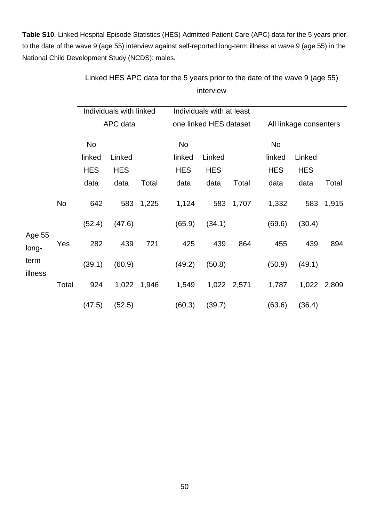<span id="page-50-0"></span>**Table S10**. Linked Hospital Episode Statistics (HES) Admitted Patient Care (APC) data for the 5 years prior to the date of the wave 9 (age 55) interview against self-reported long-term illness at wave 9 (age 55) in the National Child Development Study (NCDS): males.

|                 |           |            | Linked HES APC data for the 5 years prior to the date of the wave 9 (age 55) |       |            |                           |             |            |                        |       |  |  |  |
|-----------------|-----------|------------|------------------------------------------------------------------------------|-------|------------|---------------------------|-------------|------------|------------------------|-------|--|--|--|
|                 |           |            |                                                                              |       |            | interview                 |             |            |                        |       |  |  |  |
|                 |           |            | Individuals with linked                                                      |       |            | Individuals with at least |             |            |                        |       |  |  |  |
|                 |           |            | APC data                                                                     |       |            | one linked HES dataset    |             |            | All linkage consenters |       |  |  |  |
|                 |           | No         |                                                                              |       | <b>No</b>  |                           |             | No         |                        |       |  |  |  |
|                 |           | linked     | Linked                                                                       |       | linked     | Linked                    |             | linked     | Linked                 |       |  |  |  |
|                 |           | <b>HES</b> | <b>HES</b>                                                                   |       | <b>HES</b> | <b>HES</b>                |             | <b>HES</b> | <b>HES</b>             |       |  |  |  |
|                 |           | data       | data                                                                         | Total | data       | data                      | Total       | data       | data                   | Total |  |  |  |
|                 | <b>No</b> | 642        | 583                                                                          | 1,225 | 1,124      | 583                       | 1,707       | 1,332      | 583                    | 1,915 |  |  |  |
| Age 55          |           | (52.4)     | (47.6)                                                                       |       | (65.9)     | (34.1)                    |             | (69.6)     | (30.4)                 |       |  |  |  |
| long-           | Yes       | 282        | 439                                                                          | 721   | 425        | 439                       | 864         | 455        | 439                    | 894   |  |  |  |
| term<br>illness |           | (39.1)     | (60.9)                                                                       |       | (49.2)     | (50.8)                    |             | (50.9)     | (49.1)                 |       |  |  |  |
|                 | Total     | 924        | 1,022                                                                        | 1,946 | 1,549      |                           | 1,022 2,571 | 1,787      | 1,022                  | 2,809 |  |  |  |
|                 |           | (47.5)     | (52.5)                                                                       |       | (60.3)     | (39.7)                    |             | (63.6)     | (36.4)                 |       |  |  |  |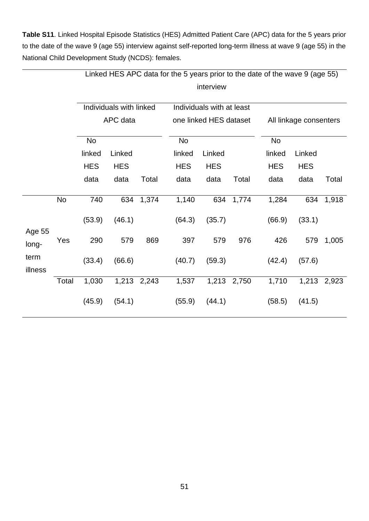<span id="page-51-0"></span>**Table S11**. Linked Hospital Episode Statistics (HES) Admitted Patient Care (APC) data for the 5 years prior to the date of the wave 9 (age 55) interview against self-reported long-term illness at wave 9 (age 55) in the National Child Development Study (NCDS): females.

|                 |           | Linked HES APC data for the 5 years prior to the date of the wave 9 (age 55) |                         |             |            |                           |             |            |                        |       |  |  |  |
|-----------------|-----------|------------------------------------------------------------------------------|-------------------------|-------------|------------|---------------------------|-------------|------------|------------------------|-------|--|--|--|
|                 |           |                                                                              | interview               |             |            |                           |             |            |                        |       |  |  |  |
|                 |           |                                                                              | Individuals with linked |             |            | Individuals with at least |             |            |                        |       |  |  |  |
|                 |           |                                                                              | APC data                |             |            | one linked HES dataset    |             |            | All linkage consenters |       |  |  |  |
|                 |           | No                                                                           |                         |             | No         |                           |             | No         |                        |       |  |  |  |
|                 |           | linked                                                                       | Linked                  |             | linked     | Linked                    |             | linked     | Linked                 |       |  |  |  |
|                 |           | <b>HES</b>                                                                   | <b>HES</b>              |             | <b>HES</b> | <b>HES</b>                |             | <b>HES</b> | <b>HES</b>             |       |  |  |  |
|                 |           | data                                                                         | data                    | Total       | data       | data                      | Total       | data       | data                   | Total |  |  |  |
|                 | <b>No</b> | 740                                                                          | 634                     | 1,374       | 1,140      | 634                       | 1,774       | 1,284      | 634                    | 1,918 |  |  |  |
| Age 55          |           | (53.9)                                                                       | (46.1)                  |             | (64.3)     | (35.7)                    |             | (66.9)     | (33.1)                 |       |  |  |  |
| long-           | Yes       | 290                                                                          | 579                     | 869         | 397        | 579                       | 976         | 426        | 579                    | 1,005 |  |  |  |
| term<br>illness |           | (33.4)                                                                       | (66.6)                  |             | (40.7)     | (59.3)                    |             | (42.4)     | (57.6)                 |       |  |  |  |
|                 | Total     | 1,030                                                                        |                         | 1,213 2,243 | 1,537      |                           | 1,213 2,750 | 1,710      | 1,213                  | 2,923 |  |  |  |
|                 |           | (45.9)                                                                       | (54.1)                  |             | (55.9)     | (44.1)                    |             | (58.5)     | (41.5)                 |       |  |  |  |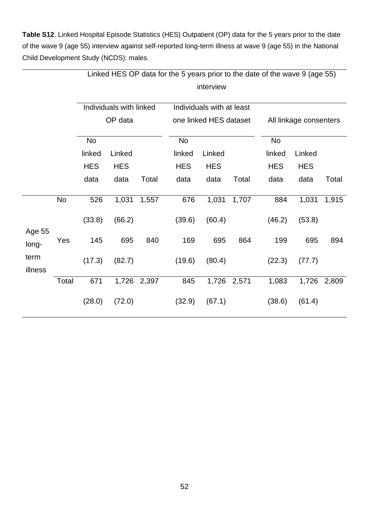<span id="page-52-0"></span>**Table S12**. Linked Hospital Episode Statistics (HES) Outpatient (OP) data for the 5 years prior to the date of the wave 9 (age 55) interview against self-reported long-term illness at wave 9 (age 55) in the National Child Development Study (NCDS): males.

|                 |           | Linked HES OP data for the 5 years prior to the date of the wave 9 (age 55) |                                    |       |            |                                                     |             |                        |            |       |  |  |  |
|-----------------|-----------|-----------------------------------------------------------------------------|------------------------------------|-------|------------|-----------------------------------------------------|-------------|------------------------|------------|-------|--|--|--|
|                 |           |                                                                             | interview                          |       |            |                                                     |             |                        |            |       |  |  |  |
|                 |           |                                                                             | Individuals with linked<br>OP data |       |            | Individuals with at least<br>one linked HES dataset |             | All linkage consenters |            |       |  |  |  |
|                 |           | No                                                                          |                                    |       | No         |                                                     |             | No                     |            |       |  |  |  |
|                 |           | linked                                                                      | Linked                             |       | linked     | Linked                                              |             | linked                 | Linked     |       |  |  |  |
|                 |           | <b>HES</b>                                                                  | <b>HES</b>                         |       | <b>HES</b> | <b>HES</b>                                          |             | <b>HES</b>             | <b>HES</b> |       |  |  |  |
|                 |           | data                                                                        | data                               | Total | data       | data                                                | Total       | data                   | data       | Total |  |  |  |
|                 | <b>No</b> | 526                                                                         | 1,031                              | 1,557 | 676        | 1,031                                               | 1,707       | 884                    | 1,031      | 1,915 |  |  |  |
|                 |           | (33.8)                                                                      | (66.2)                             |       | (39.6)     | (60.4)                                              |             | (46.2)                 | (53.8)     |       |  |  |  |
| Age 55<br>long- | Yes       | 145                                                                         | 695                                | 840   | 169        | 695                                                 | 864         | 199                    | 695        | 894   |  |  |  |
| term<br>illness |           | (17.3)                                                                      | (82.7)                             |       | (19.6)     | (80.4)                                              |             | (22.3)                 | (77.7)     |       |  |  |  |
|                 | Total     | 671                                                                         | 1,726                              | 2,397 | 845        |                                                     | 1,726 2,571 | 1,083                  | 1,726      | 2,809 |  |  |  |
|                 |           | (28.0)                                                                      | (72.0)                             |       | (32.9)     | (67.1)                                              |             | (38.6)                 | (61.4)     |       |  |  |  |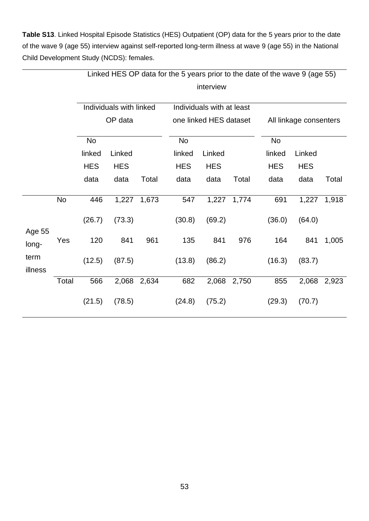<span id="page-53-0"></span>**Table S13**. Linked Hospital Episode Statistics (HES) Outpatient (OP) data for the 5 years prior to the date of the wave 9 (age 55) interview against self-reported long-term illness at wave 9 (age 55) in the National Child Development Study (NCDS): females.

|                 |           | Linked HES OP data for the 5 years prior to the date of the wave 9 (age 55) |                         |       |            |                           |       |            |                        |       |  |
|-----------------|-----------|-----------------------------------------------------------------------------|-------------------------|-------|------------|---------------------------|-------|------------|------------------------|-------|--|
|                 |           |                                                                             |                         |       |            |                           |       |            |                        |       |  |
|                 |           |                                                                             | Individuals with linked |       |            | Individuals with at least |       |            |                        |       |  |
|                 |           |                                                                             | OP data                 |       |            | one linked HES dataset    |       |            | All linkage consenters |       |  |
|                 |           | No                                                                          |                         |       | No         |                           |       | No         |                        |       |  |
|                 |           | linked                                                                      | Linked                  |       | linked     | Linked                    |       | linked     | Linked                 |       |  |
|                 |           | <b>HES</b>                                                                  | <b>HES</b>              |       | <b>HES</b> | <b>HES</b>                |       | <b>HES</b> | <b>HES</b>             |       |  |
|                 |           | data                                                                        | data                    | Total | data       | data                      | Total | data       | data                   | Total |  |
|                 | <b>No</b> | 446                                                                         | 1,227                   | 1,673 | 547        | 1,227                     | 1,774 | 691        | 1,227                  | 1,918 |  |
| Age 55          |           | (26.7)                                                                      | (73.3)                  |       | (30.8)     | (69.2)                    |       | (36.0)     | (64.0)                 |       |  |
| long-           | Yes       | 120                                                                         | 841                     | 961   | 135        | 841                       | 976   | 164        | 841                    | 1,005 |  |
| term<br>illness |           | (12.5)                                                                      | (87.5)                  |       | (13.8)     | (86.2)                    |       | (16.3)     | (83.7)                 |       |  |
|                 | Total     | 566                                                                         | 2,068                   | 2,634 | 682        | 2,068                     | 2,750 | 855        | 2,068                  | 2,923 |  |
|                 |           | (21.5)                                                                      | (78.5)                  |       | (24.8)     | (75.2)                    |       | (29.3)     | (70.7)                 |       |  |